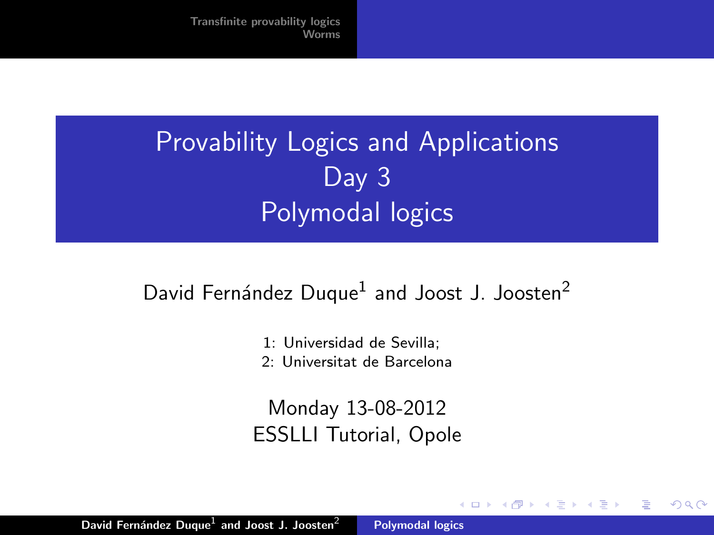## Provability Logics and Applications Day 3 Polymodal logics

## David Fernández Duque<sup>1</sup> and Joost J. Joosten<sup>2</sup>

- 1: Universidad de Sevilla;
- 2: Universitat de Barcelona

Monday 13-08-2012 ESSLLI Tutorial, Opole

 $4.17 \times$ 

<span id="page-0-0"></span> $\mathcal{A}$  and  $\mathcal{A}$  . The  $\mathcal{A}$  is a set of  $\mathcal{B}$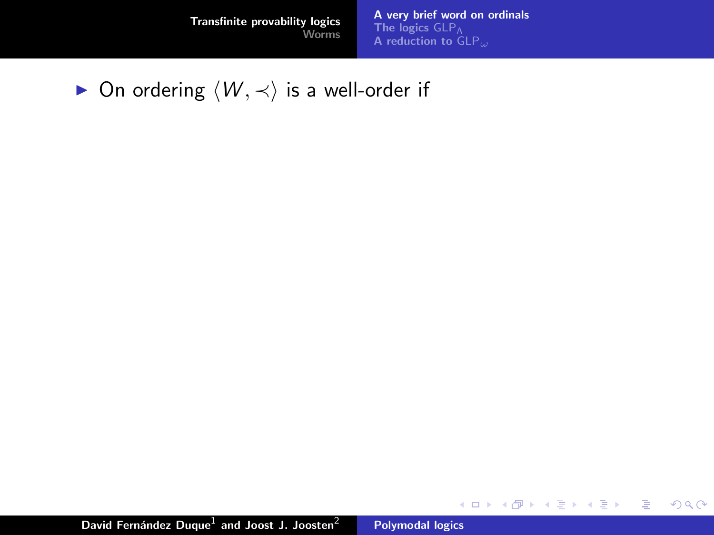[A very brief word on ordinals](#page-9-0) [The logics](#page-12-0)  $\mathsf{GLP}_{\mathsf{A}}$  reduction to  $\mathsf{GLP}_{\omega}$ 

メロメ メ都 メメ きょくきょう

活

<span id="page-1-0"></span> $299$ 

► On ordering  $\langle W, \prec \rangle$  is a well-order if

David Fernández Duque $^1$  and Joost J. Joosten $^2$  [Polymodal logics](#page-0-0)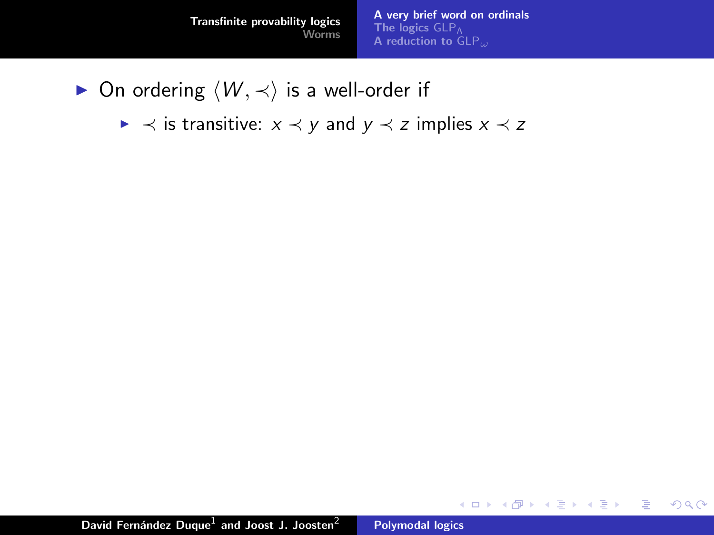[A very brief word on ordinals](#page-9-0) [The logics](#page-12-0) GLP<sub>Λ</sub> [A reduction to](#page-22-0)  $GLP_{\omega}$ 

K ロ ⊁ K 倒 ≯ K ミ ⊁ K ミ ≯

重

- ► On ordering  $\langle W, \prec \rangle$  is a well-order if
	- $\triangleright \prec$  is transitive:  $x \prec y$  and  $y \prec z$  implies  $x \prec z$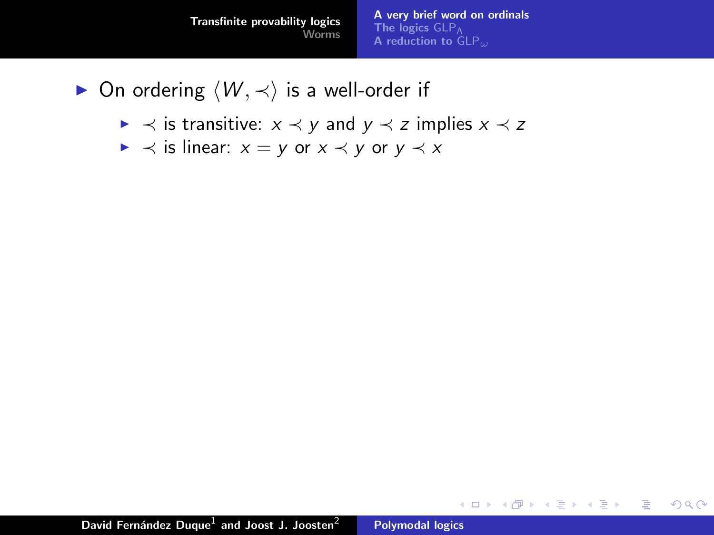[A very brief word on ordinals](#page-9-0) [The logics](#page-12-0) GLP<sub>Λ</sub> [A reduction to](#page-22-0)  $GLP$ .

K ロ ⊁ K 倒 ≯ K ミ ⊁ K ミ ≯

重

- ► On ordering  $\langle W, \prec \rangle$  is a well-order if
	- $\triangleright \prec$  is transitive:  $x \prec y$  and  $y \prec z$  implies  $x \prec z$
	- $\triangleright \prec$  is linear:  $x = y$  or  $x \prec y$  or  $y \prec x$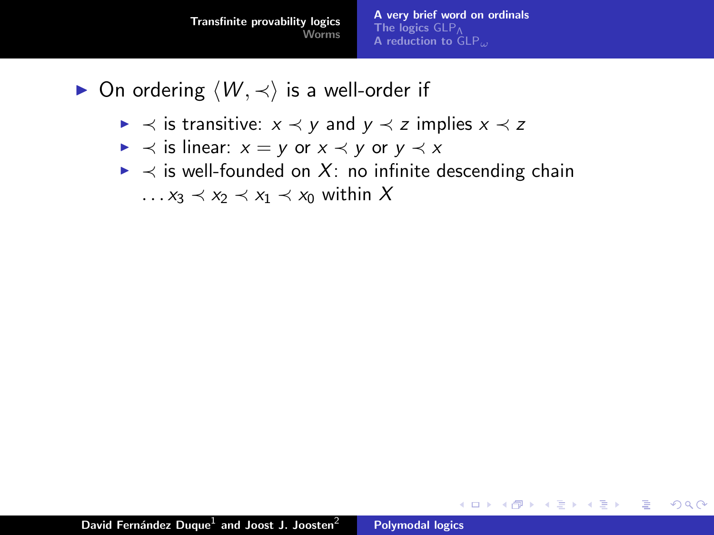- $\triangleright$  On ordering  $\langle W, \prec \rangle$  is a well-order if
	- $\triangleright \prec$  is transitive:  $x \prec y$  and  $y \prec z$  implies  $x \prec z$
	- $\triangleright \prec$  is linear:  $x = y$  or  $x \prec y$  or  $y \prec x$
	- $\triangleright$   $\prec$  is well-founded on X: no infinite descending chain  $\ldots$   $x_3 \prec x_2 \prec x_1 \prec x_0$  within X

メロメ メ御 メメ きょ メモメ

 $2Q$ 

唾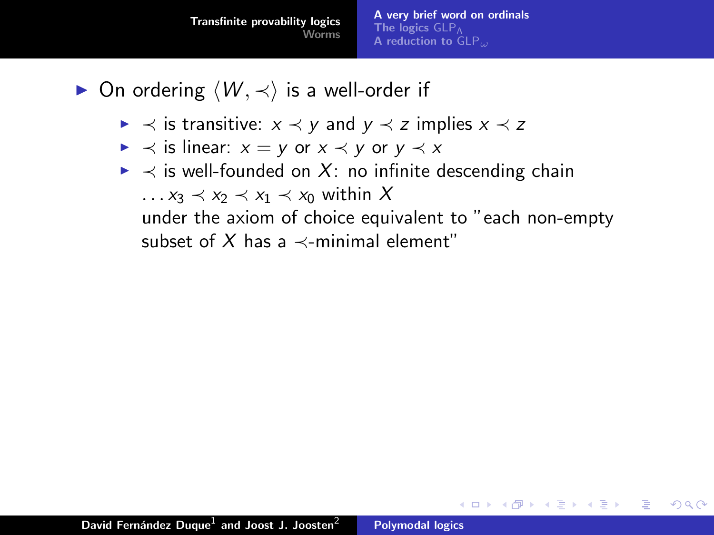- $\triangleright$  On ordering  $\langle W, \prec \rangle$  is a well-order if
	- $\triangleright \prec$  is transitive:  $x \prec y$  and  $y \prec z$  implies  $x \prec z$
	- $\triangleright \prec$  is linear:  $x = y$  or  $x \prec y$  or  $y \prec x$
	- $\triangleright \prec$  is well-founded on X: no infinite descending chain  $\ldots$   $x_3 \prec x_2 \prec x_1 \prec x_0$  within X

under the axiom of choice equivalent to "each non-empty subset of X has a  $\prec$ -minimal element"

メロメ メ御 メメミメメミメ

目

つくい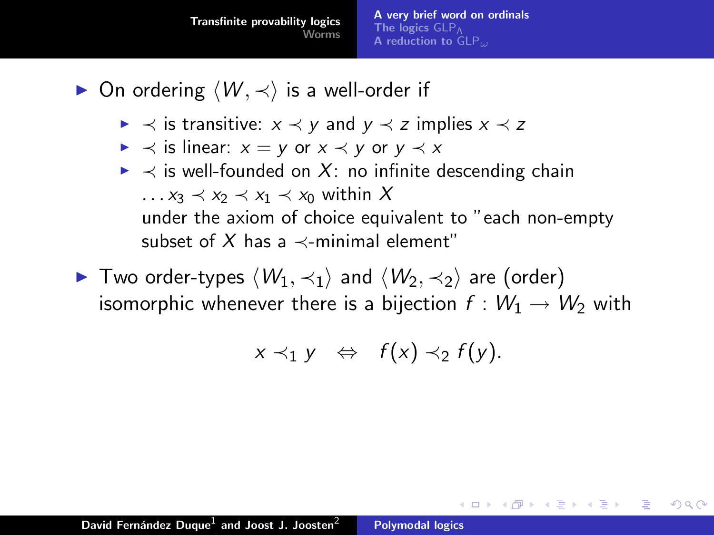- $\triangleright$  On ordering  $\langle W, \prec \rangle$  is a well-order if
	- $\triangleright \prec$  is transitive:  $x \prec y$  and  $y \prec z$  implies  $x \prec z$
	- $\triangleright \prec$  is linear:  $x = y$  or  $x \prec y$  or  $y \prec x$
	- $\triangleright \prec$  is well-founded on X: no infinite descending chain  $\ldots$   $x_3 \prec x_2 \prec x_1 \prec x_0$  within X under the axiom of choice equivalent to "each non-empty subset of X has a  $\prec$ -minimal element"
- $\blacktriangleright$  Two order-types  $\langle W_1, \prec_1 \rangle$  and  $\langle W_2, \prec_2 \rangle$  are (order) isomorphic whenever there is a bijection  $f : W_1 \to W_2$  with

$$
x \prec_1 y \Leftrightarrow f(x) \prec_2 f(y).
$$

メロメ メ御 メメミメメミメ

つくい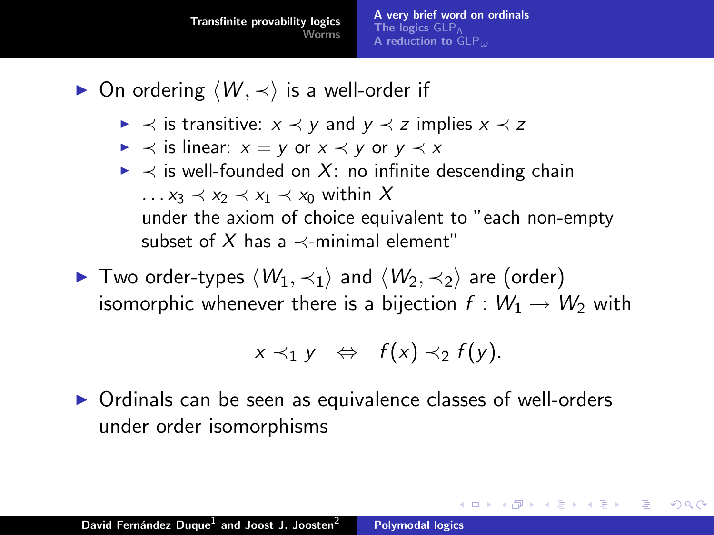- $\triangleright$  On ordering  $\langle W, \prec \rangle$  is a well-order if
	- $\triangleright \prec$  is transitive:  $x \prec y$  and  $y \prec z$  implies  $x \prec z$
	- $\triangleright \prec$  is linear:  $x = y$  or  $x \prec y$  or  $y \prec x$
	- $\triangleright \prec$  is well-founded on X: no infinite descending chain  $\ldots$   $x_3 \prec x_2 \prec x_1 \prec x_0$  within X under the axiom of choice equivalent to "each non-empty subset of X has a  $\prec$ -minimal element"
- $\blacktriangleright$  Two order-types  $\langle W_1, \prec_1 \rangle$  and  $\langle W_2, \prec_2 \rangle$  are (order) isomorphic whenever there is a bijection  $f : W_1 \to W_2$  with

$$
x \prec_1 y \Leftrightarrow f(x) \prec_2 f(y).
$$

K ロ ⊁ K 倒 ≯ K ミ ⊁ K ミ ≯

つくい

 $\triangleright$  Ordinals can be seen as equivalence classes of well-orders under order isomorphisms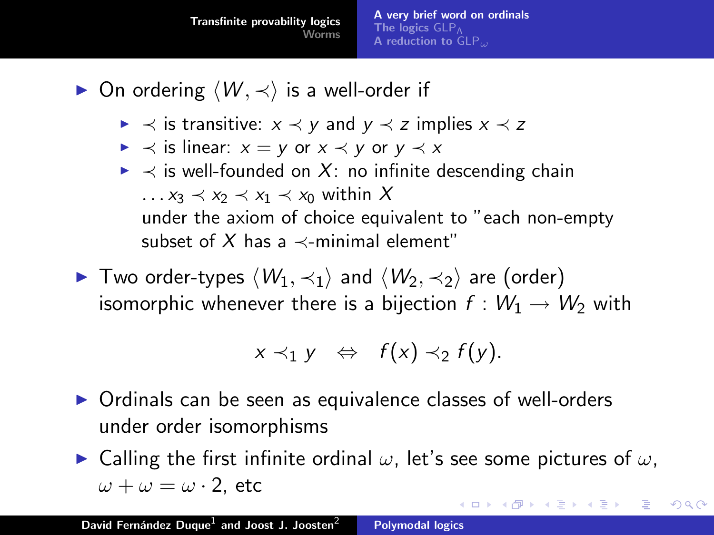- $\triangleright$  On ordering  $\langle W, \prec \rangle$  is a well-order if
	- $\triangleright \prec$  is transitive:  $x \prec y$  and  $y \prec z$  implies  $x \prec z$
	- $\triangleright \prec$  is linear:  $x = y$  or  $x \prec y$  or  $y \prec x$
	- $\triangleright \prec$  is well-founded on X: no infinite descending chain  $\ldots$   $x_3 \prec x_2 \prec x_1 \prec x_0$  within X under the axiom of choice equivalent to "each non-empty subset of X has a  $\prec$ -minimal element"
- $\blacktriangleright$  Two order-types  $\langle W_1, \prec_1 \rangle$  and  $\langle W_2, \prec_2 \rangle$  are (order) isomorphic whenever there is a bijection  $f : W_1 \to W_2$  with

$$
x \prec_1 y \Leftrightarrow f(x) \prec_2 f(y).
$$

 $\triangleright$  Ordinals can be seen as equivalence classes of well-orders under order isomorphisms

 $\blacktriangleright$  Calling the first infinite ordinal  $\omega$ , let's see some pictures of  $\omega$ ,  $\omega + \omega = \omega \cdot 2$ , etc イロト イ押 トイモト イモト

<span id="page-8-0"></span>つくい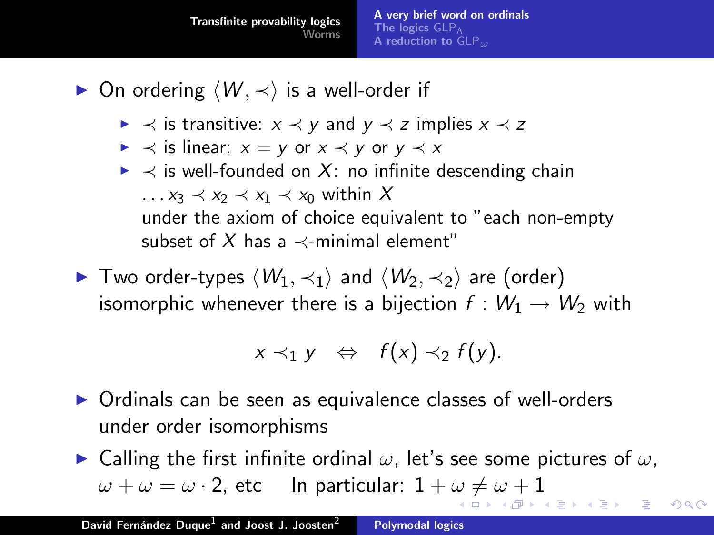- $\triangleright$  On ordering  $\langle W, \prec \rangle$  is a well-order if
	- $\triangleright \prec$  is transitive:  $x \prec y$  and  $y \prec z$  implies  $x \prec z$
	- $\triangleright \prec$  is linear:  $x = y$  or  $x \prec y$  or  $y \prec x$
	- $\triangleright \prec$  is well-founded on X: no infinite descending chain  $\ldots$   $x_3 \prec x_2 \prec x_1 \prec x_0$  within X under the axiom of choice equivalent to "each non-empty subset of X has a  $\prec$ -minimal element"
- $\blacktriangleright$  Two order-types  $\langle W_1, \prec_1 \rangle$  and  $\langle W_2, \prec_2 \rangle$  are (order) isomorphic whenever there is a bijection  $f : W_1 \to W_2$  with

$$
x \prec_1 y \Leftrightarrow f(x) \prec_2 f(y).
$$

 $\triangleright$  Ordinals can be seen as equivalence classes of well-orders under order isomorphisms

 $\blacktriangleright$  Calling the first infinite ordinal  $\omega$ , let's see some pictures of  $\omega$ ,  $\omega + \omega = \omega \cdot 2$  $\omega + \omega = \omega \cdot 2$  $\omega + \omega = \omega \cdot 2$  $\omega + \omega = \omega \cdot 2$ , etc In particular:  $1 + \omega \neq \omega + 1$  $1 + \omega \neq \omega + 1$  $1 + \omega \neq \omega + 1$  $1 + \omega \neq \omega + 1$ ▶ (御) (唐) (唐) 。

<span id="page-9-0"></span>へのへ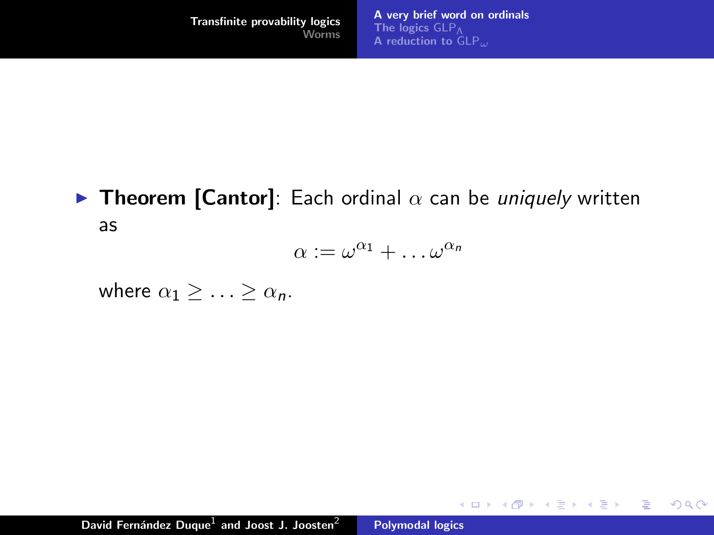メロメ メ御 メメ きょ メモメ

重

<span id="page-10-0"></span> $2Q$ 

## **Figure 1** Theorem [Cantor]: Each ordinal  $\alpha$  can be uniquely written as

$$
\alpha := \omega^{\alpha_1} + \dots \omega^{\alpha_n}
$$

where  $\alpha_1 > \ldots > \alpha_n$ .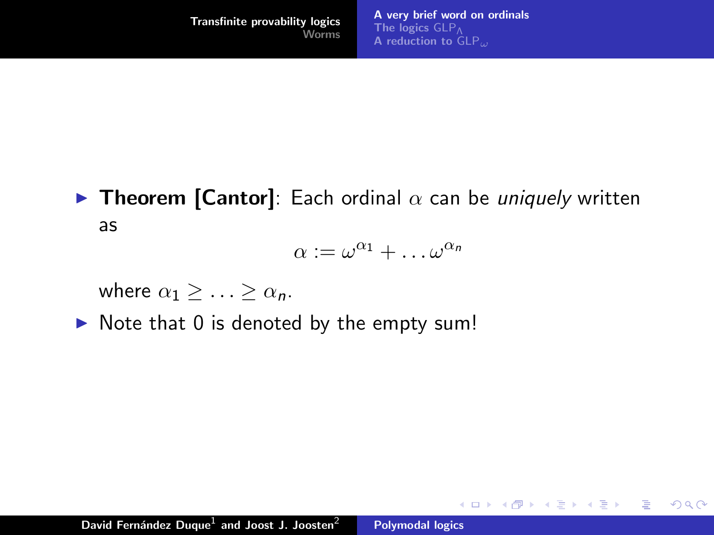$2Q$ 

目

**Figure 1** Theorem [Cantor]: Each ordinal  $\alpha$  can be uniquely written as

$$
\alpha := \omega^{\alpha_1} + \dots \omega^{\alpha_n}
$$

where  $\alpha_1 > \ldots > \alpha_n$ .

 $\triangleright$  Note that 0 is denoted by the empty sum!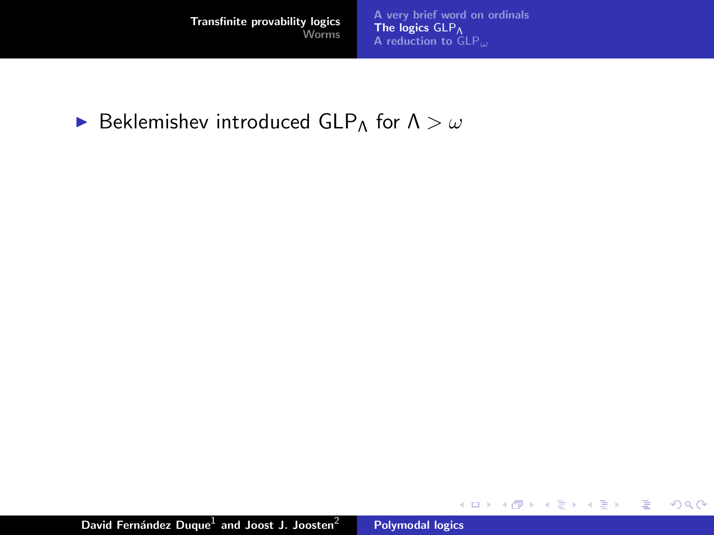[A very brief word on ordinals](#page-1-0) **[The logics](#page-21-0)**  $\mathsf{GLP}_{\mathsf{A}}$ <br>[A reduction to](#page-22-0)  $\mathsf{GLP}_{\omega}$ 

メロメ メ都 メメ きょくきょう

重

<span id="page-12-0"></span> $299$ 

## **Beklemishev introduced GLP**Λ for  $\Lambda > \omega$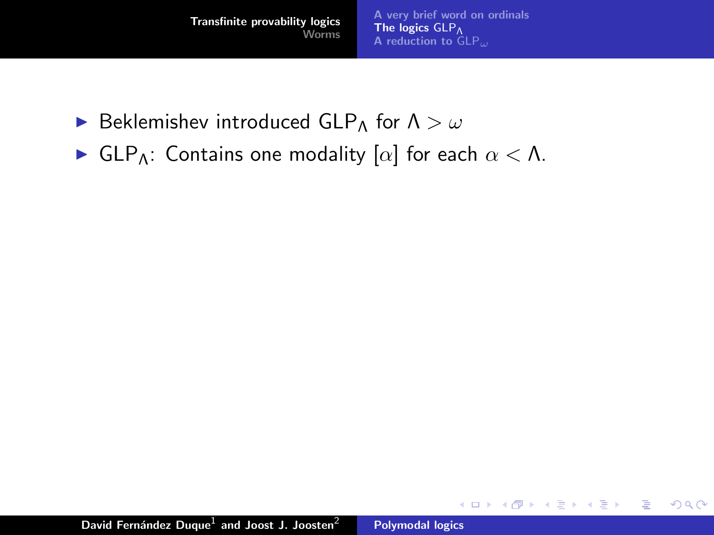- **Beklemishev introduced GLP**Λ for  $\Lambda > \omega$
- $\blacktriangleright$  GLP<sub>Λ</sub>: Contains one modality [ $\alpha$ ] for each  $\alpha < \Lambda$ .

K ロ ⊁ K 倒 ≯ K ミ ⊁ K ミ ≯

重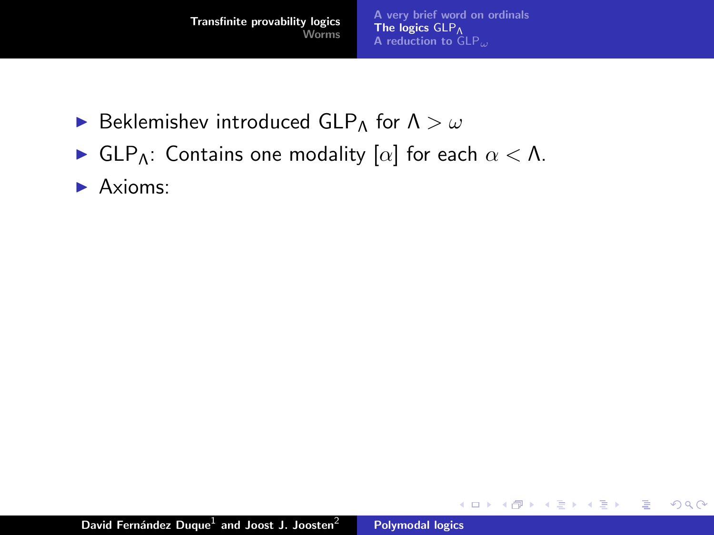- **Beklemishev introduced GLP**Λ for  $\Lambda > \omega$
- $\blacktriangleright$  GLP<sub>Λ</sub>: Contains one modality [ $\alpha$ ] for each  $\alpha < \Lambda$ .
- $\blacktriangleright$  Axioms:

K ロ ⊁ K 倒 ≯ K ミ ⊁ K ミ ≯

重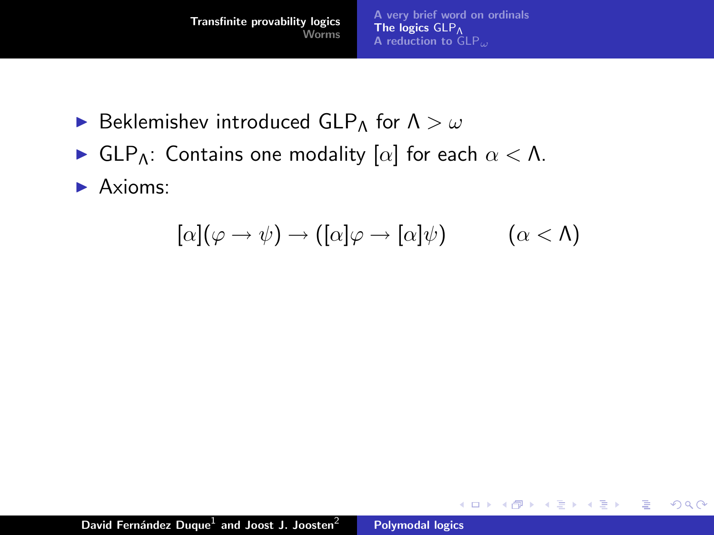- **Beklemishev introduced GLP**Λ for  $\Lambda > \omega$
- $\blacktriangleright$  GLP<sub>Λ</sub>: Contains one modality [ $\alpha$ ] for each  $\alpha < \Lambda$ .
- $\blacktriangleright$  Axioms:

$$
[\alpha](\varphi \to \psi) \to ([\alpha]\varphi \to [\alpha]\psi) \qquad (\alpha < \Lambda)
$$

K ロ ⊁ K 倒 ≯ K ミ ⊁ K ミ ≯

重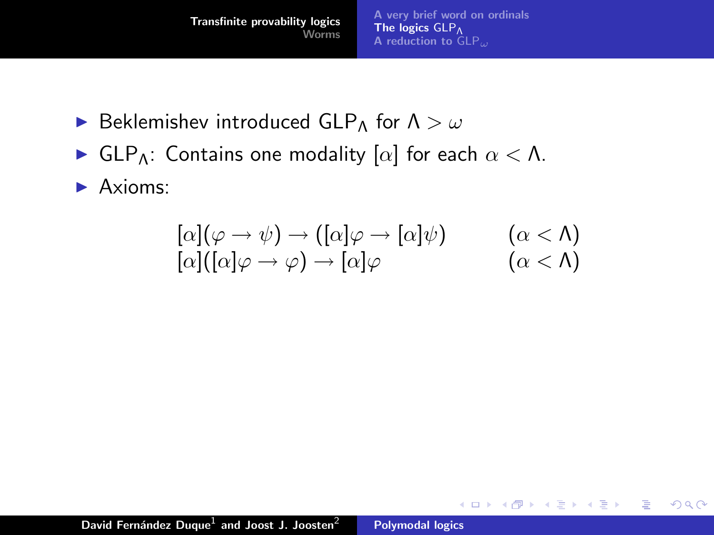- **Beklemishev introduced GLP**Λ for  $\Lambda > \omega$
- $\blacktriangleright$  GLP<sub>Λ</sub>: Contains one modality [ $\alpha$ ] for each  $\alpha < \Lambda$ .
- $\blacktriangleright$  Axioms:

$$
[\alpha](\varphi \to \psi) \to ([\alpha]\varphi \to [\alpha]\psi) \qquad (\alpha < \Lambda)
$$
  

$$
[\alpha](\alpha]\varphi \to \varphi) \to [\alpha]\varphi \qquad (\alpha < \Lambda)
$$

K ロ ⊁ K 倒 ≯ K ミ ⊁ K ミ ≯

重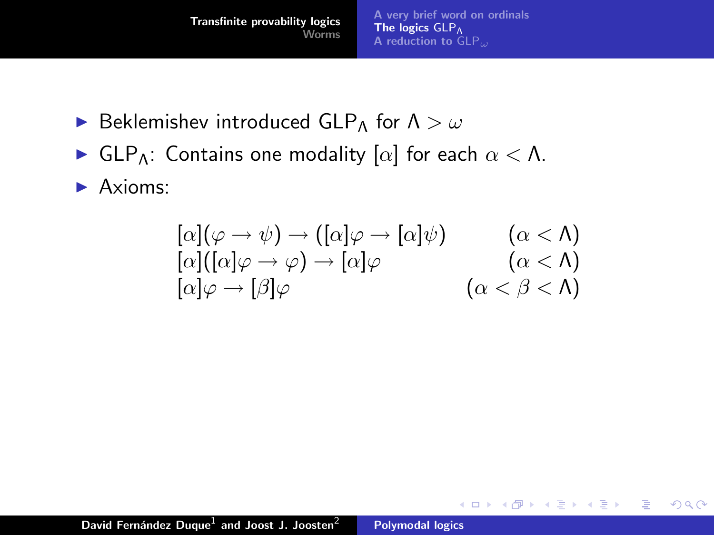- **Beklemishev introduced GLP**Λ for  $\Lambda > \omega$
- $\blacktriangleright$  GLP<sub>Λ</sub>: Contains one modality [ $\alpha$ ] for each  $\alpha < \Lambda$ .
- $\blacktriangleright$  Axioms:

$$
\begin{array}{ll}\n[\alpha](\varphi \to \psi) \to ([\alpha]\varphi \to [\alpha]\psi) & (\alpha < \Lambda) \\
[\alpha](\alpha]\varphi \to \varphi) \to [\alpha]\varphi & (\alpha < \Lambda) \\
[\alpha]\varphi \to [\beta]\varphi & (\alpha < \beta < \Lambda)\n\end{array}
$$

K ロ ⊁ K 倒 ≯ K ミ ⊁ K ミ ≯

重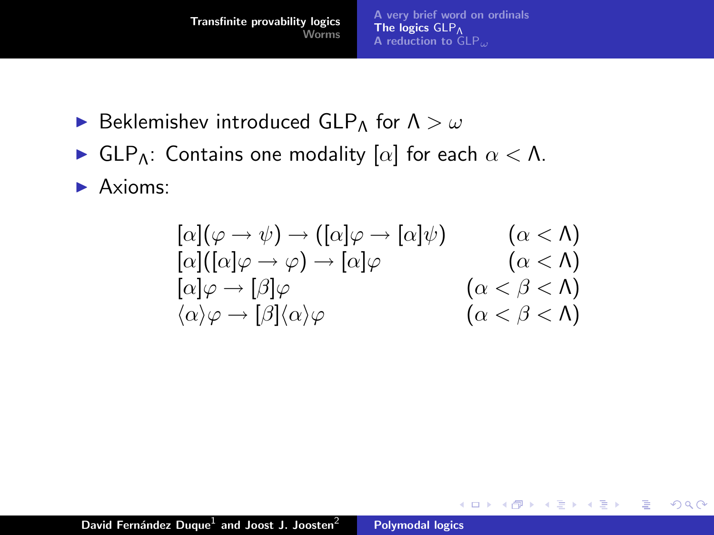- **Beklemishev introduced GLP**Λ for  $\Lambda > \omega$
- $\blacktriangleright$  GLP<sub>Λ</sub>: Contains one modality [ $\alpha$ ] for each  $\alpha < \Lambda$ .
- $\blacktriangleright$  Axioms:

$$
\begin{array}{ll}\n[\alpha](\varphi \to \psi) \to ([\alpha]\varphi \to [\alpha]\psi) & (\alpha < \Lambda) \\
[\alpha]([\alpha]\varphi \to \varphi) \to [\alpha]\varphi & (\alpha < \Lambda) \\
[\alpha]\varphi \to [\beta]\varphi & (\alpha < \beta < \Lambda) \\
\langle \alpha \rangle \varphi \to [\beta](\alpha)\varphi & (\alpha < \beta < \Lambda)\n\end{array}
$$

K ロ ⊁ K 倒 ≯ K ミ ⊁ K ミ ≯

重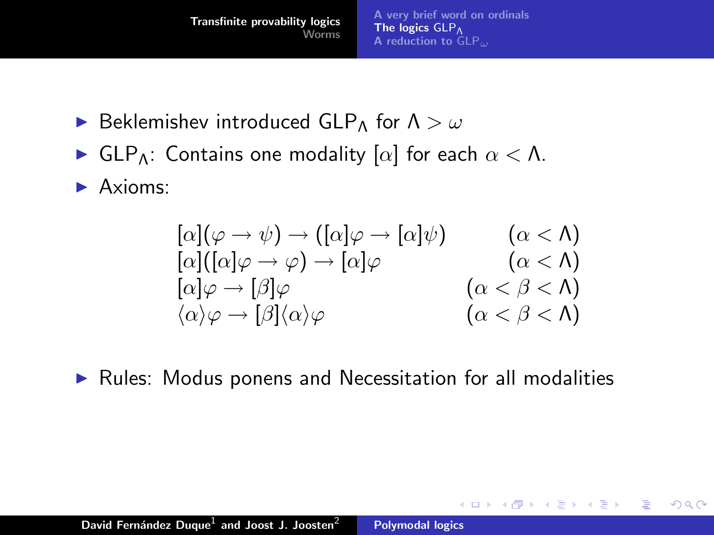- **E** Beklemishev introduced GLP<sub>Λ</sub> for  $\Lambda > \omega$
- $\blacktriangleright$  GLP<sub>Λ</sub>: Contains one modality [ $\alpha$ ] for each  $\alpha < \Lambda$ .
- $\blacktriangleright$  Axioms:

$$
\begin{array}{ll}\n[\alpha](\varphi \to \psi) \to ([\alpha]\varphi \to [\alpha]\psi) & (\alpha < \Lambda) \\
[\alpha]([\alpha]\varphi \to \varphi) \to [\alpha]\varphi & (\alpha < \Lambda) \\
[\alpha]\varphi \to [\beta]\varphi & (\alpha < \beta < \Lambda) \\
\langle \alpha \rangle \varphi \to [\beta](\alpha)\varphi & (\alpha < \beta < \Lambda)\n\end{array}
$$

K ロ ⊁ K 倒 ≯ K ミ ⊁ K ミ ≯

 $2Q$ 

目

 $\blacktriangleright$  Rules: Modus ponens and Necessitation for all modalities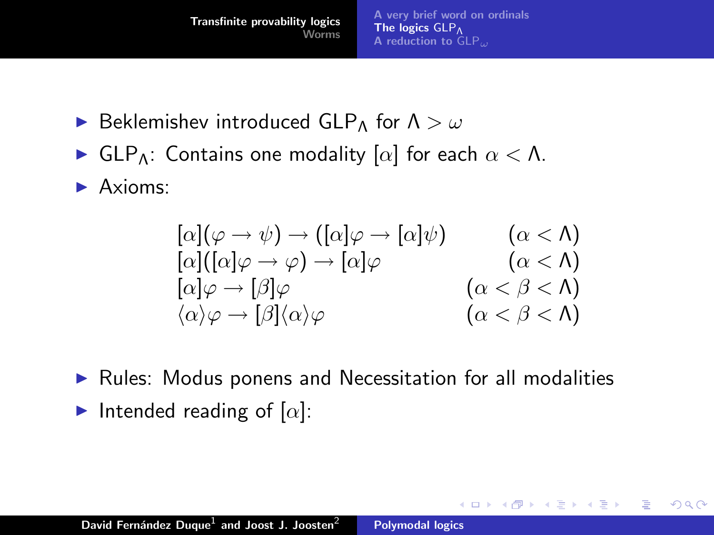- **E** Beklemishev introduced GLP<sub>Λ</sub> for  $\Lambda > \omega$
- $\blacktriangleright$  GLP<sub>Λ</sub>: Contains one modality [ $\alpha$ ] for each  $\alpha < \Lambda$ .
- $\blacktriangleright$  Axioms:

$$
\begin{array}{ll}\n[\alpha](\varphi \to \psi) \to ([\alpha]\varphi \to [\alpha]\psi) & (\alpha < \Lambda) \\
[\alpha]([\alpha]\varphi \to \varphi) \to [\alpha]\varphi & (\alpha < \Lambda) \\
[\alpha]\varphi \to [\beta]\varphi & (\alpha < \beta < \Lambda) \\
\langle \alpha \rangle \varphi \to [\beta](\alpha)\varphi & (\alpha < \beta < \Lambda)\n\end{array}
$$

K ロ ⊁ K 倒 ≯ K ミ ⊁ K ミ ≯

 $2Q$ 

目

 $\blacktriangleright$  Rules: Modus ponens and Necessitation for all modalities Intended reading of  $[\alpha]$ :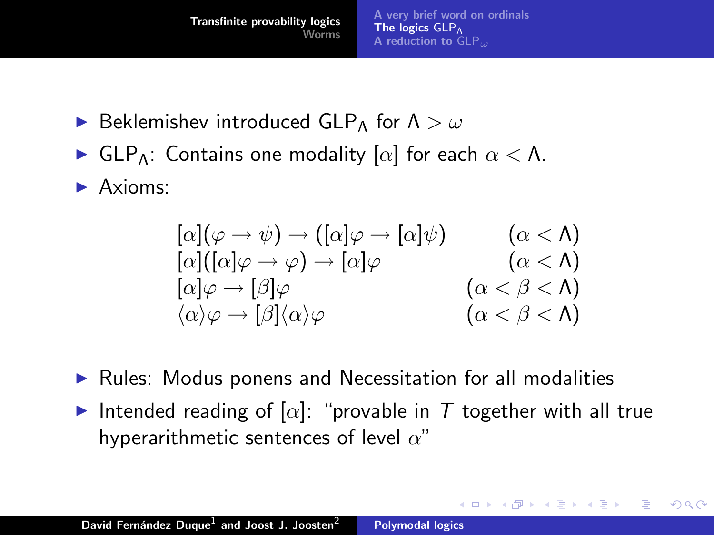- **E** Beklemishev introduced GLP<sub>Λ</sub> for  $\Lambda > \omega$
- **I** GLP<sub>A</sub>: Contains one modality  $[\alpha]$  for each  $\alpha < \Lambda$ .
- $\blacktriangleright$  Axioms:

$$
\begin{array}{ll}\n[\alpha](\varphi \to \psi) \to ([\alpha]\varphi \to [\alpha]\psi) & (\alpha < \Lambda) \\
[\alpha]([\alpha]\varphi \to \varphi) \to [\alpha]\varphi & (\alpha < \Lambda) \\
[\alpha]\varphi \to [\beta]\varphi & (\alpha < \beta < \Lambda) \\
\langle \alpha \rangle \varphi \to [\beta](\alpha)\varphi & (\alpha < \beta < \Lambda)\n\end{array}
$$

- $\blacktriangleright$  Rules: Modus ponens and Necessitation for all modalities
- Intended reading of  $[\alpha]$ : "provable in T together with all true hyperarithmetic sentences of level  $\alpha$ "

<span id="page-21-0"></span>K ロ ⊁ K 倒 ≯ K ミ ⊁ K ミ ≯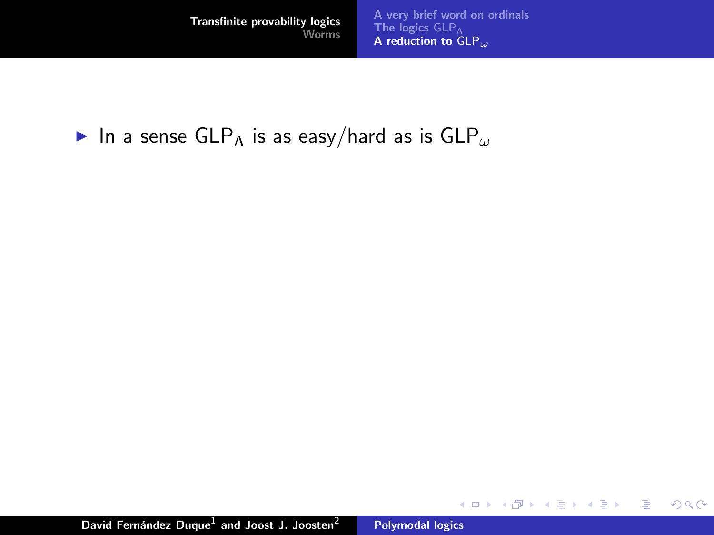[A very brief word on ordinals](#page-1-0) [The logics](#page-12-0)  $\mathsf{GLP}_{\Lambda}$  reduction to  $\mathsf{GLP}_{\omega}$ 

イロト イ部 トイヨ トイヨト

重

<span id="page-22-0"></span> $299$ 

In a sense  $GLP_\Lambda$  is as easy/hard as is  $GLP_\omega$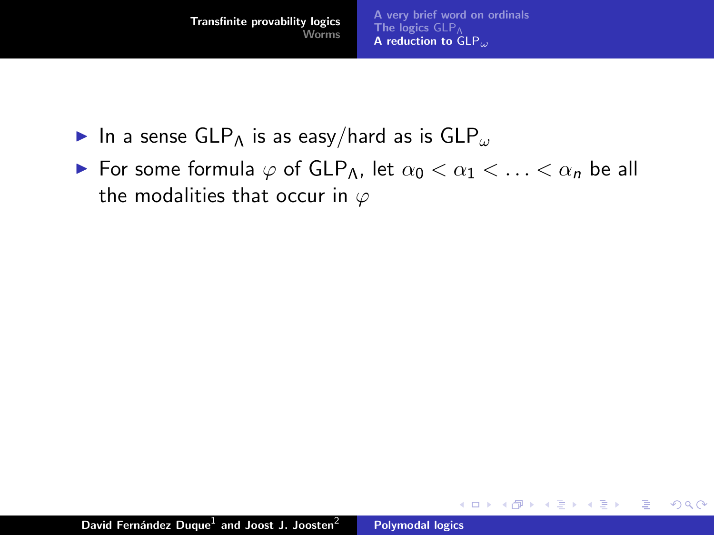- In a sense GLP<sub>A</sub> is as easy/hard as is GLP<sub> $\omega$ </sub>
- ► For some formula  $\varphi$  of GLP<sub>A</sub>, let  $\alpha_0 < \alpha_1 < \ldots < \alpha_n$  be all the modalities that occur in  $\varphi$

**K ロ ト K 倒 ト K 走 ト** 

- 4 店 ト

 $2Q$ 

目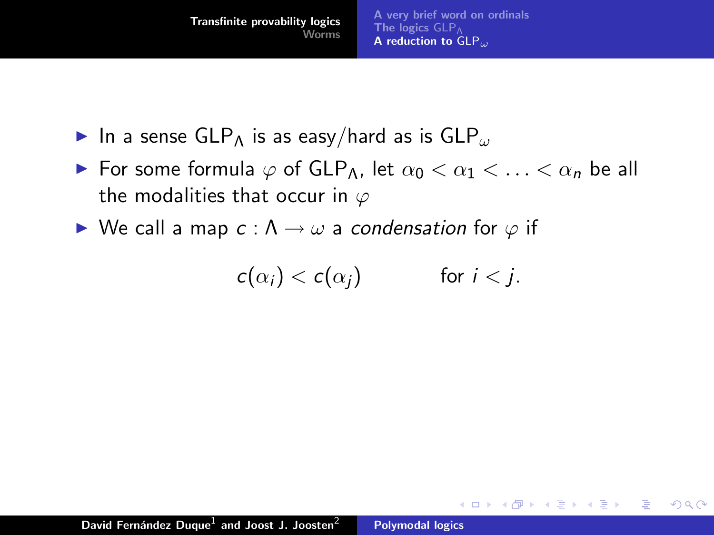- In a sense GLP<sub>A</sub> is as easy/hard as is GLP<sub>ω</sub>
- $\triangleright$  For some formula  $\varphi$  of GLP<sub>Λ</sub>, let  $\alpha_0 < \alpha_1 < \ldots < \alpha_n$  be all the modalities that occur in  $\varphi$
- $\triangleright$  We call a map  $c : \Lambda \rightarrow \omega$  a condensation for  $\varphi$  if

$$
c(\alpha_i) < c(\alpha_j) \qquad \text{for } i < j.
$$

 $2Q$ 

不同 医

**∢ ロ ▶ : ⊀ 母 ▶ : ∢ ヨ ▶**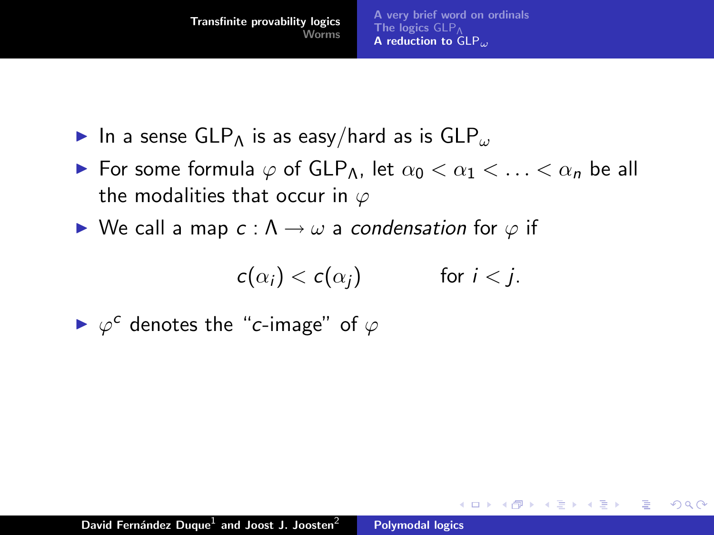- In a sense GLP<sub>A</sub> is as easy/hard as is GLP<sub>ω</sub>
- $\triangleright$  For some formula  $\varphi$  of GLP<sub>Λ</sub>, let  $\alpha_0 < \alpha_1 < \ldots < \alpha_n$  be all the modalities that occur in  $\varphi$
- $\triangleright$  We call a map  $c : \Lambda \rightarrow \omega$  a condensation for  $\varphi$  if

$$
c(\alpha_i) < c(\alpha_j) \qquad \text{for } i < j.
$$

 $\left\{ \begin{array}{ccc} 1 & 0 & 0 \\ 0 & 1 & 0 \end{array} \right\}$  ,  $\left\{ \begin{array}{ccc} 0 & 0 & 0 \\ 0 & 0 & 0 \end{array} \right\}$ 

 $\left\{ \begin{array}{c} 1 \end{array} \right.$ 

つくい

 $ightharpoonup \varphi^c$  denotes the "c-image" of  $\varphi$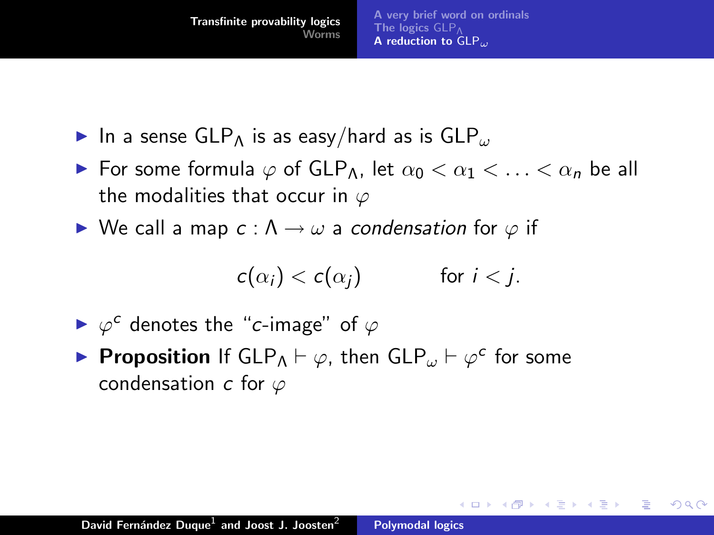- In a sense GLP<sub>A</sub> is as easy/hard as is GLP<sub>ω</sub>
- $\triangleright$  For some formula  $\varphi$  of GLP<sub>Λ</sub>, let  $\alpha_0 < \alpha_1 < \ldots < \alpha_n$  be all the modalities that occur in  $\varphi$
- $\triangleright$  We call a map  $c : \Lambda \rightarrow \omega$  a condensation for  $\varphi$  if

$$
c(\alpha_i) < c(\alpha_j) \qquad \text{for } i < j.
$$

 $\left\{ \begin{array}{ccc} 1 & 0 & 0 \\ 0 & 1 & 0 \end{array} \right\}$  ,  $\left\{ \begin{array}{ccc} 0 & 0 & 0 \\ 0 & 0 & 0 \end{array} \right\}$ 

つくい

- $ightharpoonup \varphi^c$  denotes the "c-image" of  $\varphi$
- **Proposition** If  $GLP_{\Lambda} \vdash \varphi$ , then  $GLP_{\omega} \vdash \varphi^c$  for some condensation c for  $\varphi$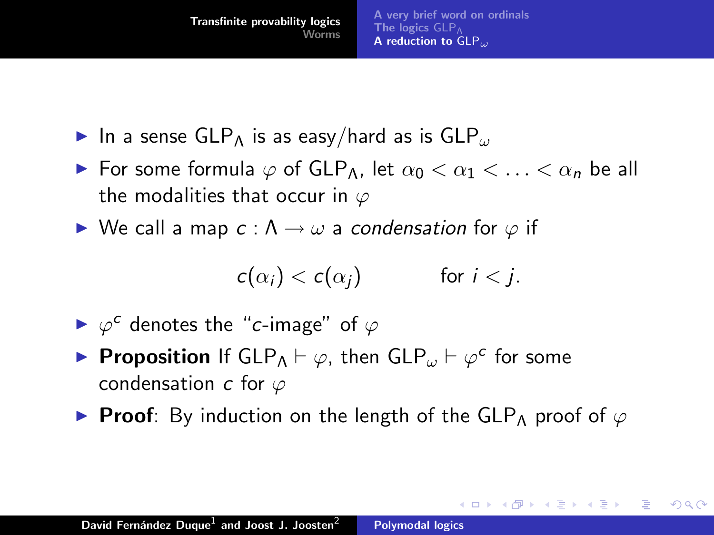- In a sense GLP<sub>A</sub> is as easy/hard as is GLP<sub>ω</sub>
- $\triangleright$  For some formula  $\varphi$  of GLP<sub>Λ</sub>, let  $\alpha_0 < \alpha_1 < \ldots < \alpha_n$  be all the modalities that occur in  $\varphi$
- $\triangleright$  We call a map  $c : \Lambda \rightarrow \omega$  a condensation for  $\varphi$  if

$$
c(\alpha_i) < c(\alpha_j) \qquad \text{for } i < j.
$$

- $ightharpoonup \varphi^c$  denotes the "c-image" of  $\varphi$
- **Proposition** If  $GLP_{\Lambda} \vdash \varphi$ , then  $GLP_{\omega} \vdash \varphi^c$  for some condensation c for  $\varphi$
- **Proof**: By induction on the length of the GLP<sub>A</sub> proof of  $\varphi$

K ロ ⊁ K 倒 ≯ K ミ ⊁ K ミ ≯

<span id="page-27-0"></span>つくい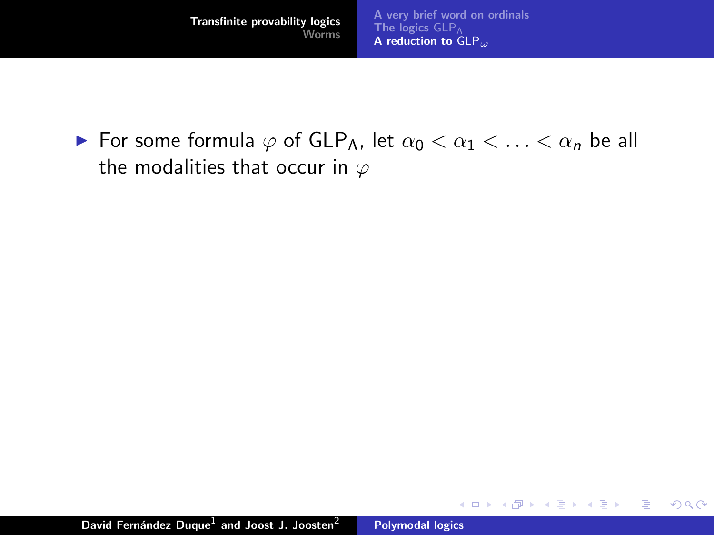$\triangleright$  For some formula  $\varphi$  of GLP<sub>Λ</sub>, let  $\alpha_0 < \alpha_1 < \ldots < \alpha_n$  be all the modalities that occur in  $\varphi$ 

K ロ ⊁ K 倒 ≯ K ミ ⊁ K ミ ≯

重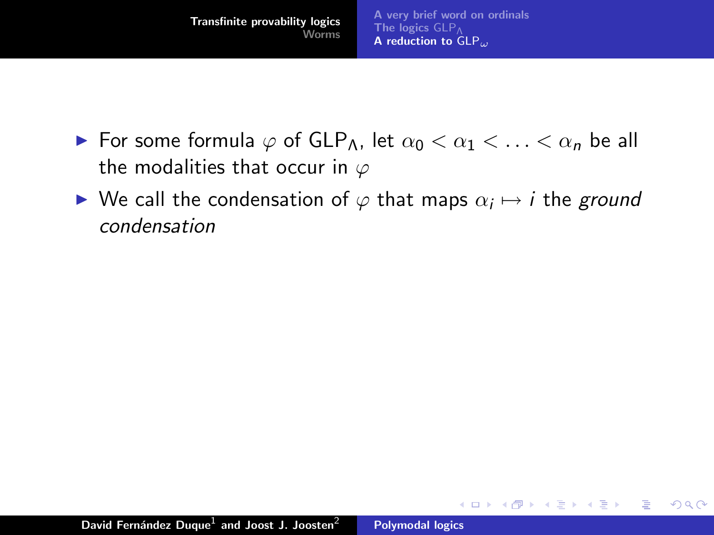

- $\triangleright$  For some formula  $\varphi$  of GLP<sub>Λ</sub>, let  $\alpha_0 < \alpha_1 < \ldots < \alpha_n$  be all the modalities that occur in  $\varphi$
- $\blacktriangleright$  We call the condensation of  $\varphi$  that maps  $\alpha_i \mapsto i$  the ground condensation

 $2Q$ 

目

メロメ メ御 メメミメメミメ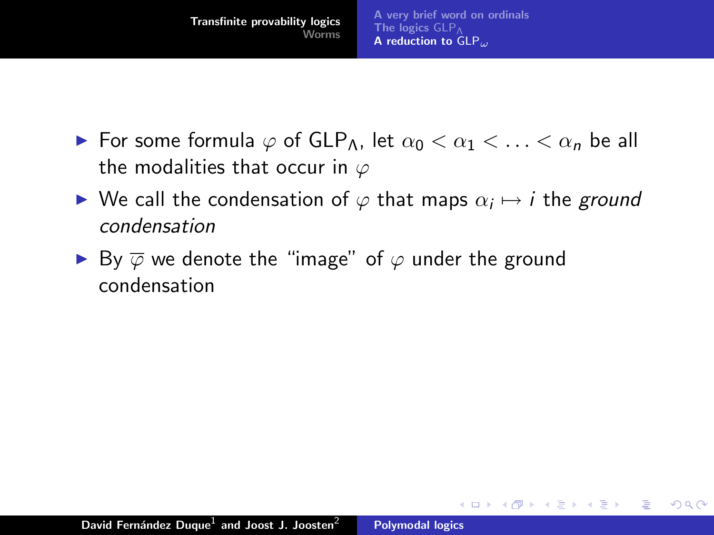

- $\triangleright$  For some formula  $\varphi$  of GLP<sub>Λ</sub>, let  $\alpha_0 < \alpha_1 < \ldots < \alpha_n$  be all the modalities that occur in  $\varphi$
- $\blacktriangleright$  We call the condensation of  $\varphi$  that maps  $\alpha_i \mapsto i$  the ground condensation

 $2Q$ 

**∢ロ ▶ ∢ 倒 ▶ ∢ ヨ ▶** 

na ⊞is

► By  $\overline{\varphi}$  we denote the "image" of  $\varphi$  under the ground condensation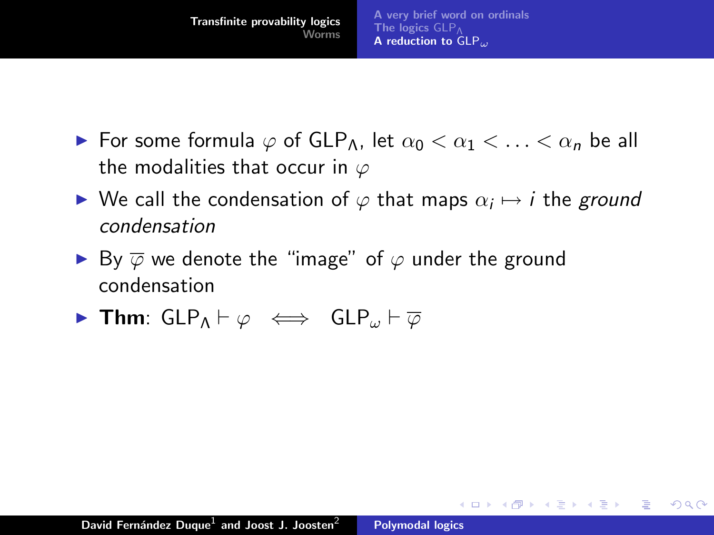

- $\triangleright$  For some formula  $\varphi$  of GLP<sub>Λ</sub>, let  $\alpha_0 < \alpha_1 < \ldots < \alpha_n$  be all the modalities that occur in  $\varphi$
- $\blacktriangleright$  We call the condensation of  $\varphi$  that maps  $\alpha_i \mapsto i$  the ground condensation

 $2Q$ 

唾

メロメ メ御 メメミメメミメ

- ► By  $\overline{\varphi}$  we denote the "image" of  $\varphi$  under the ground condensation
- **Firm:** GLP<sub>A</sub>  $\vdash \varphi \iff$  GLP<sub>ω</sub>  $\vdash \overline{\varphi}$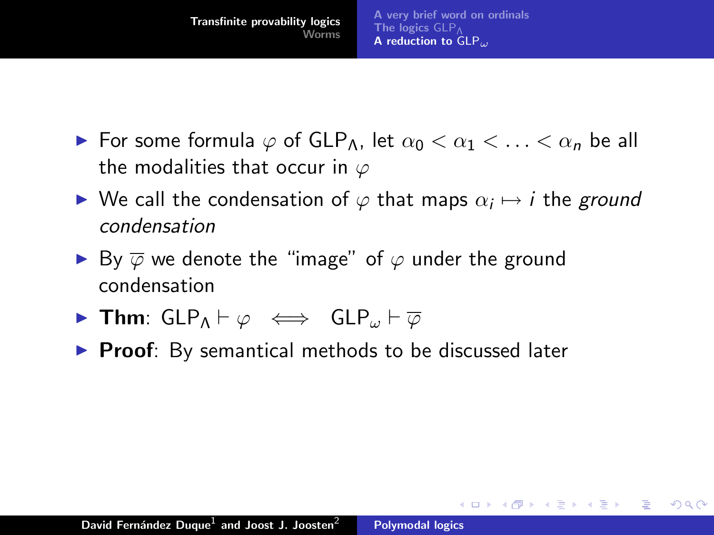

- $\triangleright$  For some formula  $\varphi$  of GLP<sub>Λ</sub>, let  $\alpha_0 < \alpha_1 < \ldots < \alpha_n$  be all the modalities that occur in  $\varphi$
- $\blacktriangleright$  We call the condensation of  $\varphi$  that maps  $\alpha_i \mapsto i$  the ground condensation

イロト イ母 トイラト イラト

つくい

- ► By  $\overline{\varphi}$  we denote the "image" of  $\varphi$  under the ground condensation
- **Firm:**  $GLP_A \vdash \varphi \iff GLP_\omega \vdash \overline{\varphi}$
- $\triangleright$  Proof: By semantical methods to be discussed later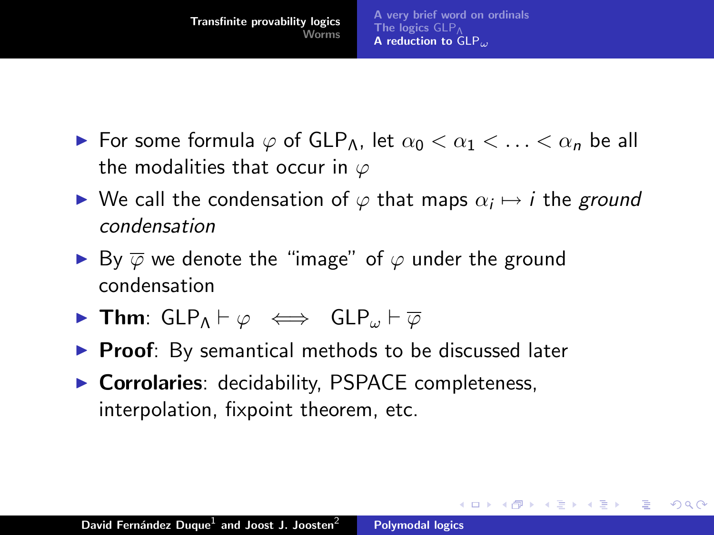

- $\triangleright$  For some formula  $\varphi$  of GLP<sub>Λ</sub>, let  $\alpha_0 < \alpha_1 < \ldots < \alpha_n$  be all the modalities that occur in  $\varphi$
- $\blacktriangleright$  We call the condensation of  $\varphi$  that maps  $\alpha_i \mapsto i$  the ground condensation

つくい

- ► By  $\overline{\varphi}$  we denote the "image" of  $\varphi$  under the ground condensation
- **Firm:**  $GLP_A \vdash \varphi \iff GLP_\omega \vdash \overline{\varphi}$
- $\triangleright$  Proof: By semantical methods to be discussed later
- $\triangleright$  Corrolaries: decidability, PSPACE completeness, interpolation, fixpoint theorem, etc.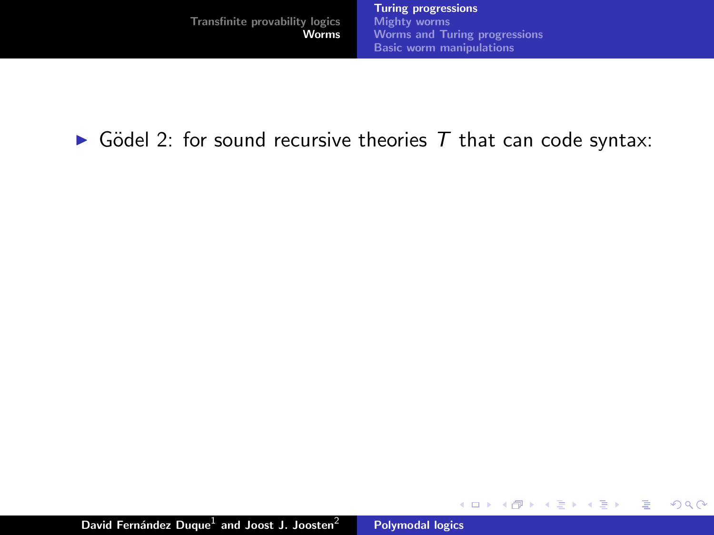重

<span id="page-34-0"></span> $2Q$ 

 $\triangleright$  Gödel 2: for sound recursive theories T that can code syntax: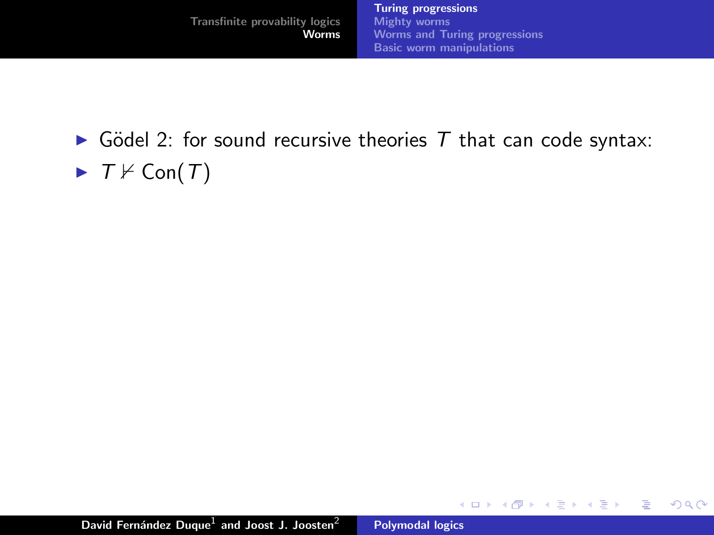重

 $2Q$ 

 $\triangleright$  Gödel 2: for sound recursive theories T that can code syntax:  $\blacktriangleright$   $T \nvDash \text{Con}(T)$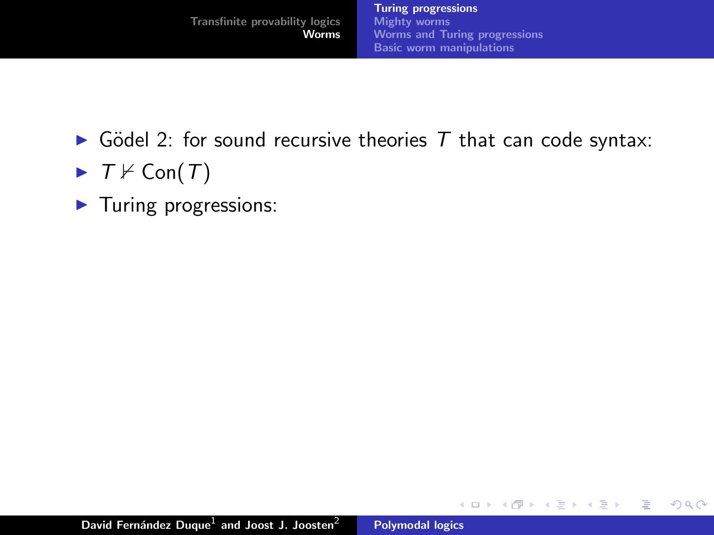重

一人 ヨート

- Gödel 2: for sound recursive theories  $T$  that can code syntax:
- $\blacktriangleright$   $T \nvDash \text{Con}(T)$
- $\blacktriangleright$  Turing progressions: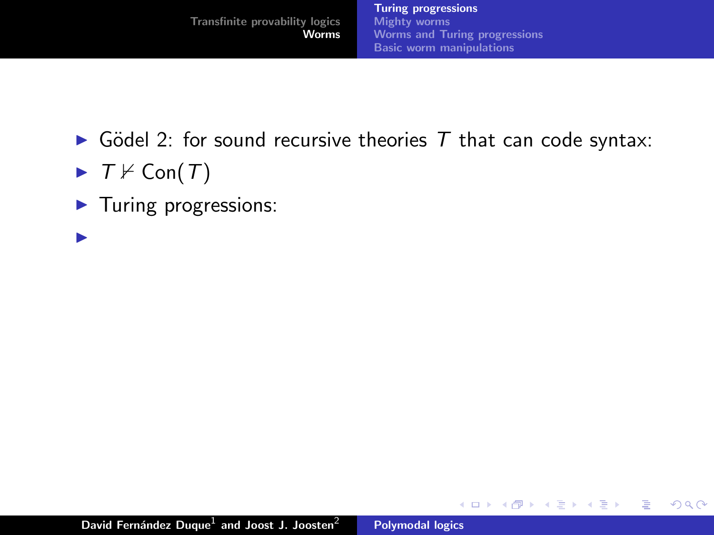重

- 4 店)

- $\triangleright$  Gödel 2: for sound recursive theories T that can code syntax:
- $\blacktriangleright$   $T \nvDash \text{Con}(T)$
- $\blacktriangleright$  Turing progressions:
- $\blacksquare$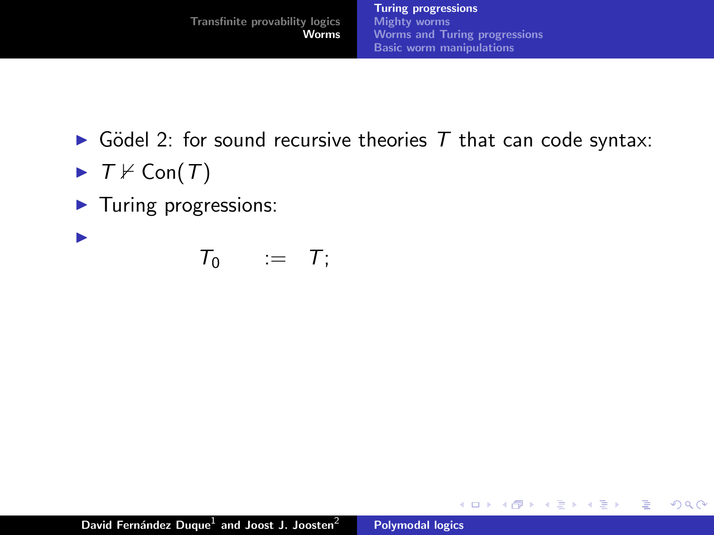K ロ ⊁ K 倒 ≯ K ミ ⊁ K ミ ≯

重

 $2Q$ 

- Gödel 2: for sound recursive theories  $T$  that can code syntax:
- $\blacktriangleright$   $T \nvDash \text{Con}(T)$

 $\blacktriangleright$ 

 $\blacktriangleright$  Turing progressions:

 $T_0$  :=  $T$ ;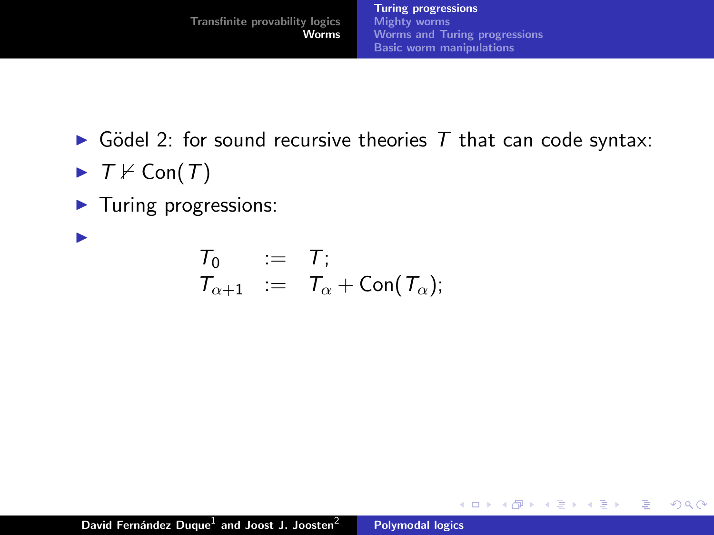K ロ ⊁ K 倒 ≯ K ミ ⊁ K ミ ≯

重

 $2Q$ 

- $\triangleright$  Gödel 2: for sound recursive theories T that can code syntax:
- $\blacktriangleright$   $T \nvDash \text{Con}(T)$

 $\blacktriangleright$ 

 $\blacktriangleright$  Turing progressions:

 $T_0$  :=  $T$ ;  $\mathcal{T}_{\alpha+1}$  :=  $\mathcal{T}_{\alpha}$  + Con( $\mathcal{T}_{\alpha}$ );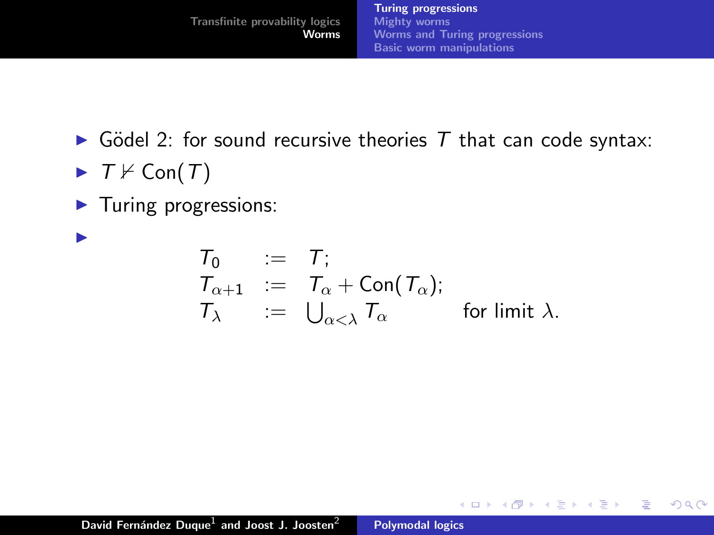重

- 4 店)

 $2Q$ 

- $\triangleright$  Gödel 2: for sound recursive theories T that can code syntax:
- $\blacktriangleright$   $T \nvDash \text{Con}(T)$

 $\blacksquare$ 

 $\blacktriangleright$  Turing progressions:

$$
\begin{array}{lll} T_0 & := & T; \\ T_{\alpha+1} & := & T_{\alpha} + \text{Con}(T_{\alpha}); \\ T_{\lambda} & := & \bigcup_{\alpha<\lambda} T_{\alpha} \end{array}
$$
 for limit  $\lambda$ .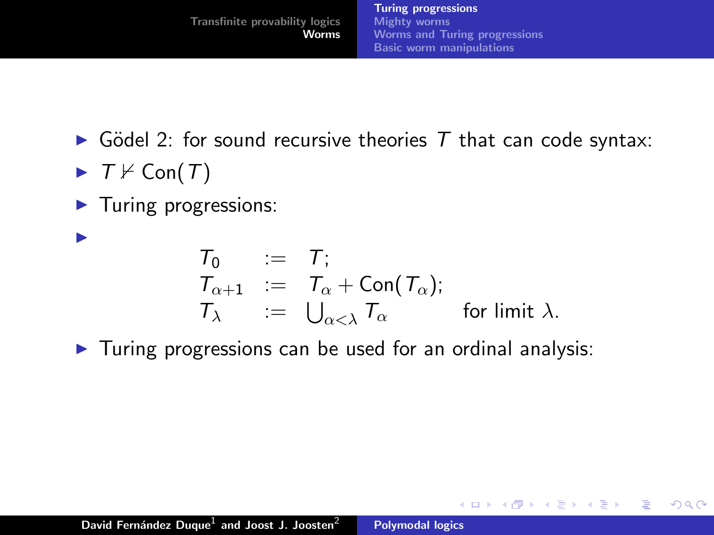[Turing progressions](#page-42-0) [Mighty worms](#page-50-0) [Worms and Turing progressions](#page-62-0) [Basic worm manipulations](#page-65-0)

**K ロ ▶ K 御 ▶ K 舌** 

 $2Q$ 

重

- $\triangleright$  Gödel 2: for sound recursive theories T that can code syntax:
- $\blacktriangleright$   $T \nvDash \text{Con}(T)$

 $\blacksquare$ 

 $\blacktriangleright$  Turing progressions:

$$
\begin{array}{rcl}\nT_0 & := & T; \\
T_{\alpha+1} & := & T_{\alpha} + \text{Con}(T_{\alpha}); \\
T_{\lambda} & := & \bigcup_{\alpha < \lambda} T_{\alpha} \quad \text{for limit } \lambda.\n\end{array}
$$

 $\blacktriangleright$  Turing progressions can be used for an ordinal analysis: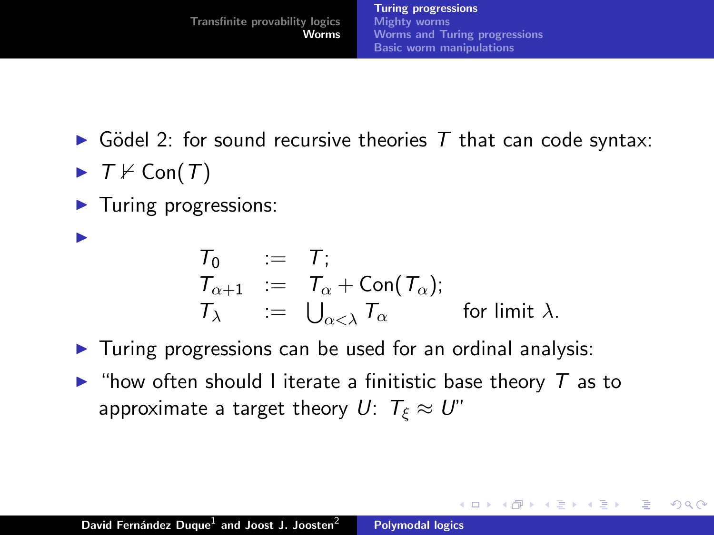<span id="page-42-0"></span> $\Omega$ 

- $\triangleright$  Gödel 2: for sound recursive theories T that can code syntax:
- $\blacktriangleright$   $T \nvDash \text{Con}(T)$

 $\blacksquare$ 

 $\blacktriangleright$  Turing progressions:

$$
\begin{array}{rcl}\nT_0 & := & T; \\
T_{\alpha+1} & := & T_{\alpha} + \text{Con}(T_{\alpha}); \\
T_{\lambda} & := & \bigcup_{\alpha < \lambda} T_{\alpha} \quad \text{for limit } \lambda.\n\end{array}
$$

- $\triangleright$  Turing progressions can be used for an ordinal analysis:
- $\triangleright$  "how often should I iterate a finitistic base theory  $\tau$  as to approximate a target theory  $U: T_{\xi} \approx U''$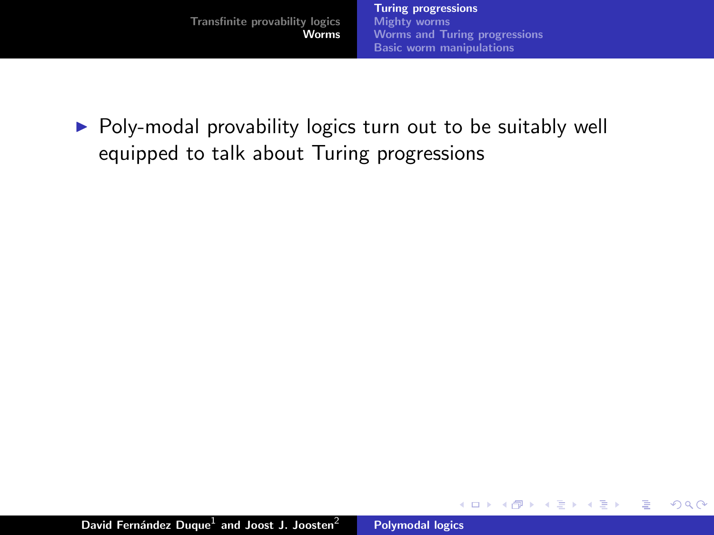- 4 店)

 $2Q$ 

扂

 $\triangleright$  Poly-modal provability logics turn out to be suitably well equipped to talk about Turing progressions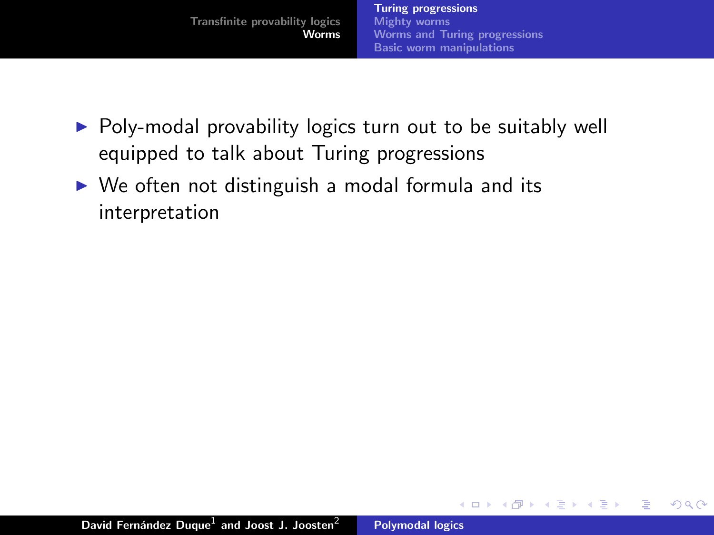メミト

 $2Q$ 

扂

- $\triangleright$  Poly-modal provability logics turn out to be suitably well equipped to talk about Turing progressions
- $\triangleright$  We often not distinguish a modal formula and its interpretation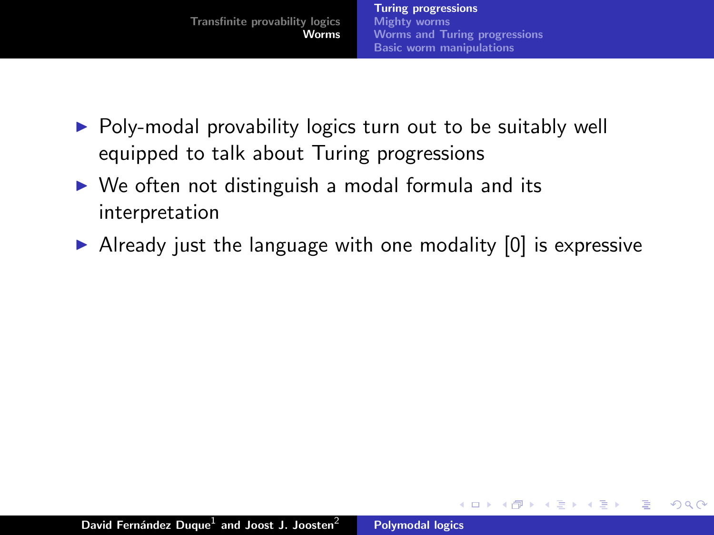- $\triangleright$  Poly-modal provability logics turn out to be suitably well equipped to talk about Turing progressions
- $\triangleright$  We often not distinguish a modal formula and its interpretation
- $\triangleright$  Already just the language with one modality [0] is expressive

 $4.71 \times 4.77 \times 4.75$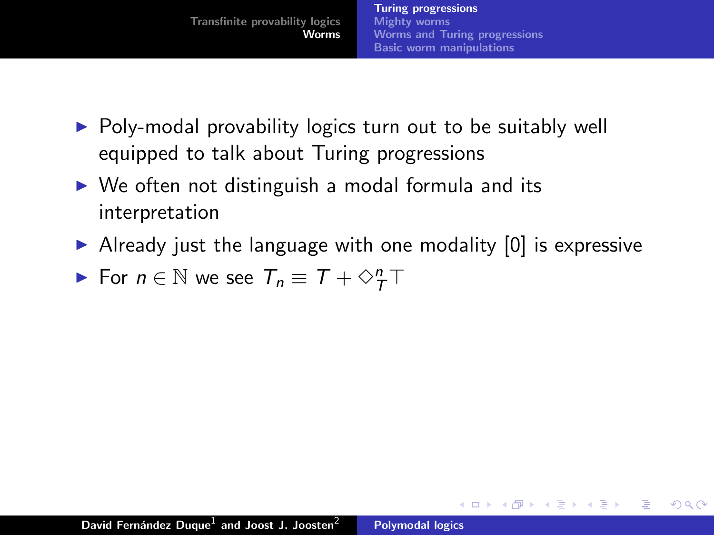- $\triangleright$  Poly-modal provability logics turn out to be suitably well equipped to talk about Turing progressions
- $\triangleright$  We often not distinguish a modal formula and its interpretation
- $\triangleright$  Already just the language with one modality [0] is expressive

 $2Q$ 

For  $n \in \mathbb{N}$  we see  $T_n \equiv T + \diamond^n_T T$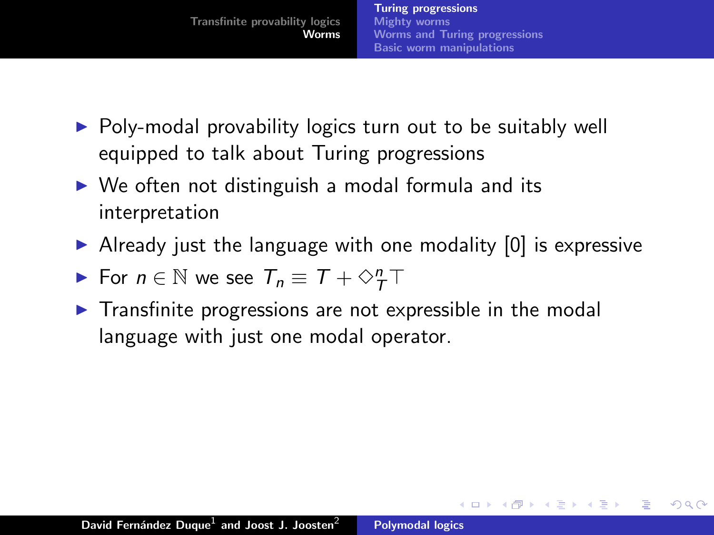- $\triangleright$  Poly-modal provability logics turn out to be suitably well equipped to talk about Turing progressions
- $\triangleright$  We often not distinguish a modal formula and its interpretation
- $\triangleright$  Already just the language with one modality [0] is expressive

- For  $n \in \mathbb{N}$  we see  $T_n \equiv T + \diamond^n_T T$
- $\triangleright$  Transfinite progressions are not expressible in the modal language with just one modal operator.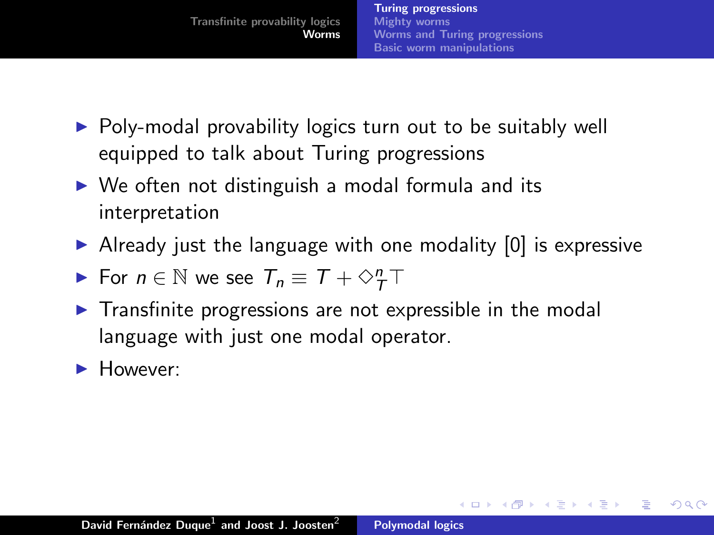- $\triangleright$  Poly-modal provability logics turn out to be suitably well equipped to talk about Turing progressions
- $\triangleright$  We often not distinguish a modal formula and its interpretation
- $\triangleright$  Already just the language with one modality [0] is expressive

- For  $n \in \mathbb{N}$  we see  $T_n \equiv T + \diamond^n_T T$
- $\triangleright$  Transfinite progressions are not expressible in the modal language with just one modal operator.
- $\blacktriangleright$  However: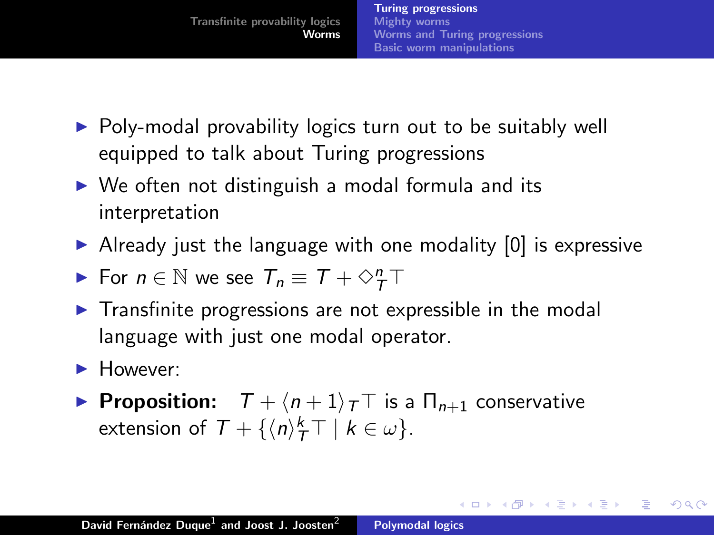- $\triangleright$  Poly-modal provability logics turn out to be suitably well equipped to talk about Turing progressions
- $\triangleright$  We often not distinguish a modal formula and its interpretation
- $\triangleright$  Already just the language with one modality [0] is expressive
- For  $n \in \mathbb{N}$  we see  $T_n \equiv T + \diamond^n_T T$
- $\triangleright$  Transfinite progressions are not expressible in the modal language with just one modal operator.
- **However:**
- **Proposition:**  $\overline{T} + \langle n+1 \rangle_T$  is a  $\Pi_{n+1}$  conservative extension of  $\mathcal{T} + {\{\langle n \rangle\}^k_{\mathcal{T}}} \top | k \in \omega$ .

イロメ イ母メ イヨメ イヨメー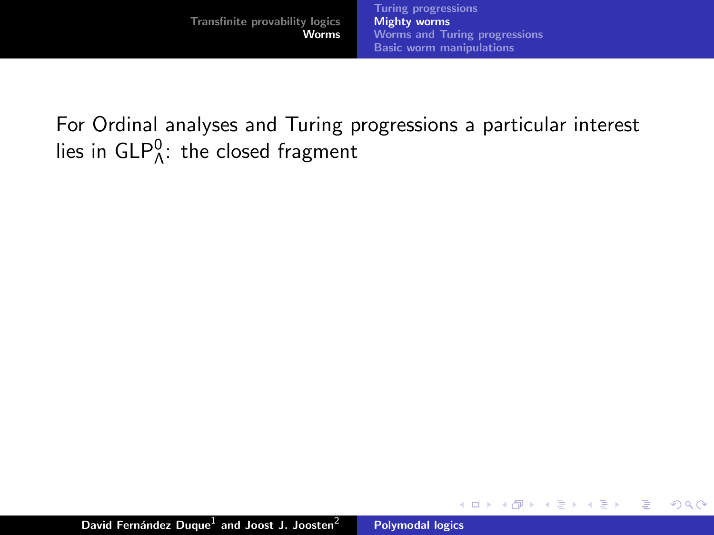For Ordinal analyses and Turing progressions a particular interest lies in  $\mathsf{GLP}^0_\Lambda$ : the closed fragment

**K ロ ▶ K 御 ▶ K 舌** 

<span id="page-50-0"></span> $2Q$ 

重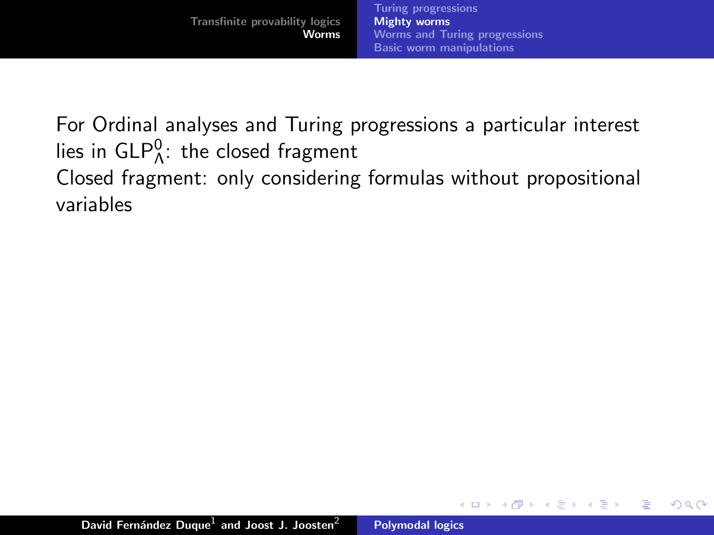For Ordinal analyses and Turing progressions a particular interest lies in  $\mathsf{GLP}^0_\Lambda$ : the closed fragment Closed fragment: only considering formulas without propositional variables

**K ロ ▶ K 伊 ▶**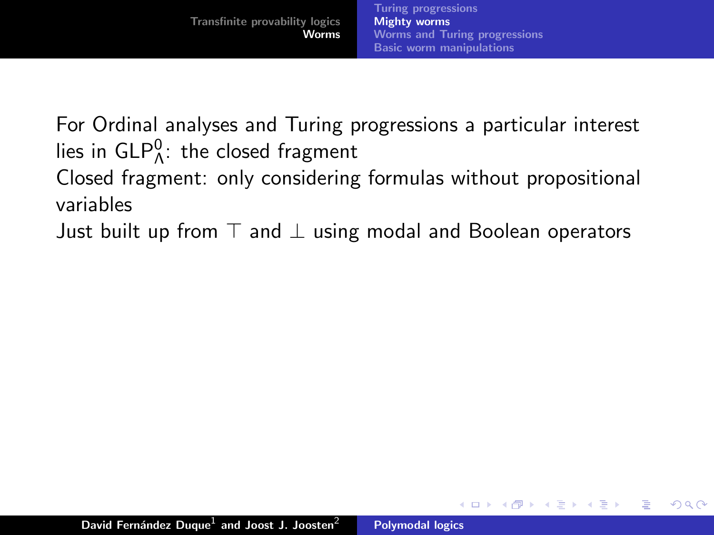For Ordinal analyses and Turing progressions a particular interest lies in  $\mathsf{GLP}^0_\Lambda$ : the closed fragment Closed fragment: only considering formulas without propositional variables

Just built up from  $\top$  and  $\bot$  using modal and Boolean operators

 $(5.7)$   $(5.7)$ 

 $\Omega$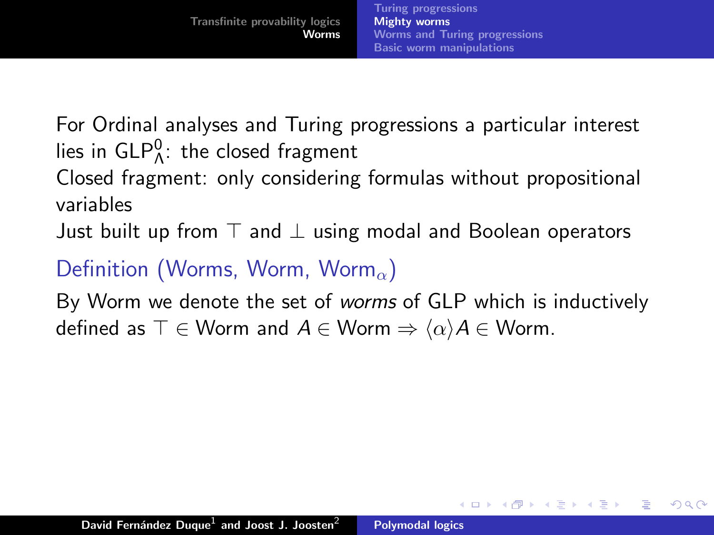For Ordinal analyses and Turing progressions a particular interest lies in  $\mathsf{GLP}^0_\Lambda$ : the closed fragment

Closed fragment: only considering formulas without propositional variables

Just built up from  $\top$  and  $\bot$  using modal and Boolean operators

# Definition (Worms, Worm, Worm<sub> $\alpha$ </sub>)

By Worm we denote the set of worms of GLP which is inductively defined as  $\top \in \mathsf{Worm}$  and  $A \in \mathsf{Worm} \Rightarrow \langle \alpha \rangle A \in \mathsf{Worm}$ .

 $4.11 \times 4.60 \times 4.71 \times$ 

へのへ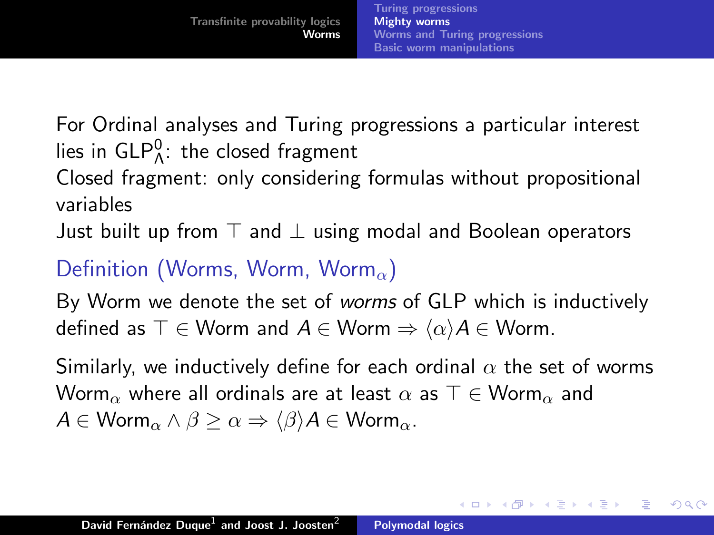For Ordinal analyses and Turing progressions a particular interest lies in  $\mathsf{GLP}^0_\Lambda$ : the closed fragment

Closed fragment: only considering formulas without propositional variables

Just built up from  $\top$  and  $\bot$  using modal and Boolean operators

## Definition (Worms, Worm, Worm<sub> $\alpha$ </sub>)

By Worm we denote the set of worms of GLP which is inductively defined as  $\top \in \mathsf{Worm}$  and  $A \in \mathsf{Worm} \Rightarrow \langle \alpha \rangle A \in \mathsf{Worm}$ .

Similarly, we inductively define for each ordinal  $\alpha$  the set of worms Worm<sub>α</sub> where all ordinals are at least  $\alpha$  as  $\top \in \mathsf{Worm}_{\alpha}$  and  $A \in \mathsf{Worm}_{\alpha} \wedge \beta \geq \alpha \Rightarrow \langle \beta \rangle A \in \mathsf{Worm}_{\alpha}$ .

<span id="page-54-0"></span>イロト イ押 トイモト イモト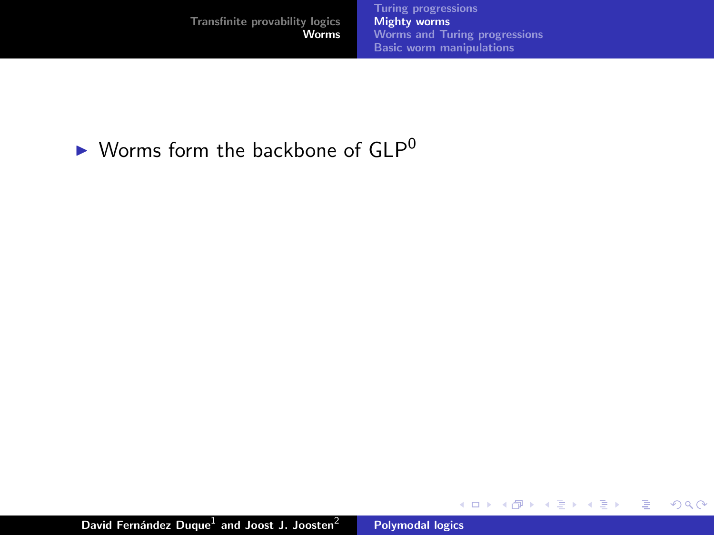メロメ メ都 メメ きょくきょう

 $\equiv$ 

 $299$ 

## $\blacktriangleright$  Worms form the backbone of GLP<sup>0</sup>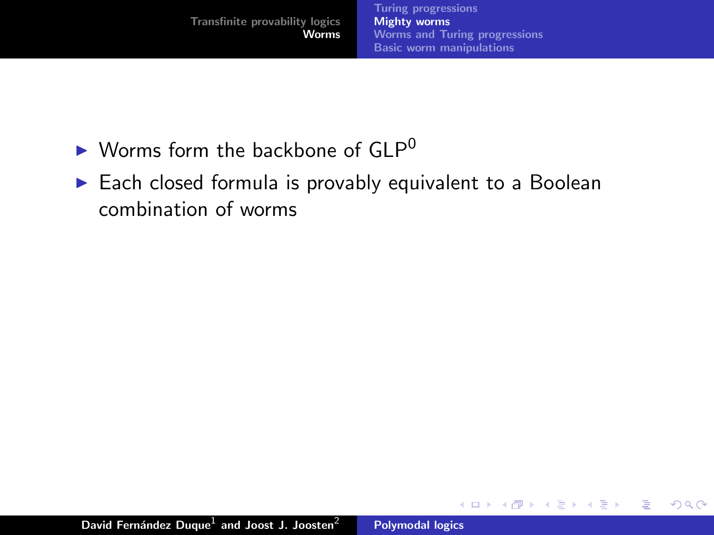一 4 (重) 8

重

- $\blacktriangleright$  Worms form the backbone of GLP<sup>0</sup>
- $\blacktriangleright$  Each closed formula is provably equivalent to a Boolean combination of worms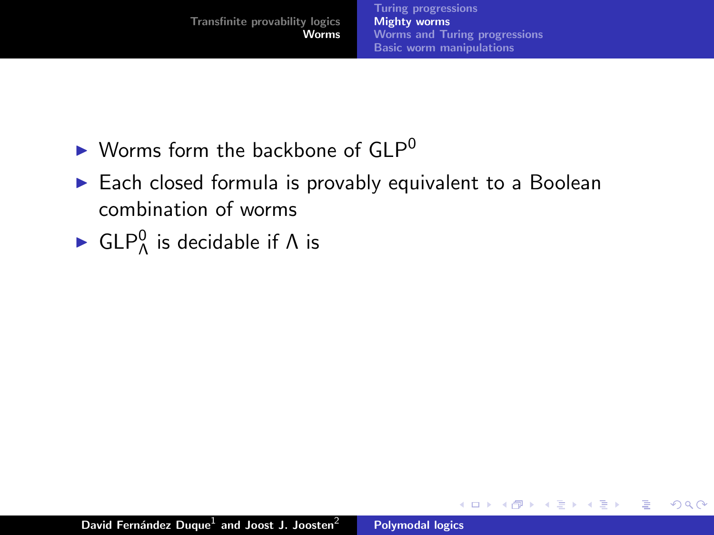**K ロ ⊁ K 伊 ⊁ K 店** 

**IN** K 로 )  $2Q$ 

目

- $\blacktriangleright$  Worms form the backbone of GLP<sup>0</sup>
- $\blacktriangleright$  Each closed formula is provably equivalent to a Boolean combination of worms
- ► GLP $^0$  is decidable if  $\Lambda$  is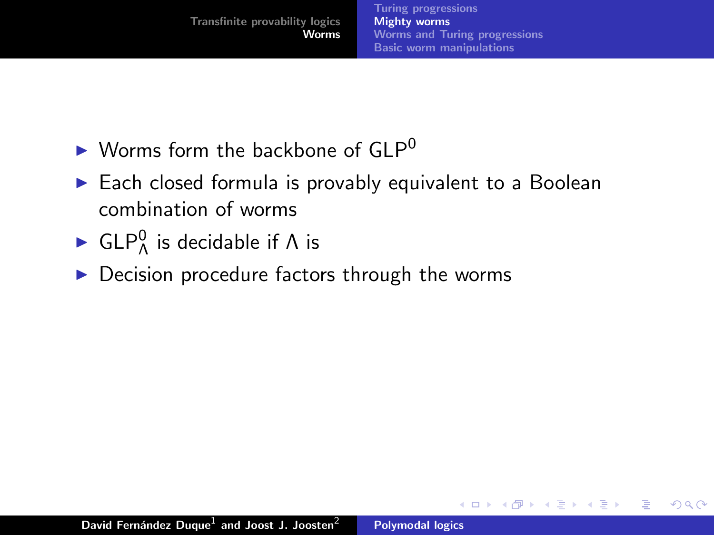**K ロ ▶ K 御 ▶ K 舌** 

- $\blacktriangleright$  Worms form the backbone of GLP<sup>0</sup>
- $\blacktriangleright$  Each closed formula is provably equivalent to a Boolean combination of worms
- ► GLP $^0$  is decidable if  $\Lambda$  is
- $\blacktriangleright$  Decision procedure factors through the worms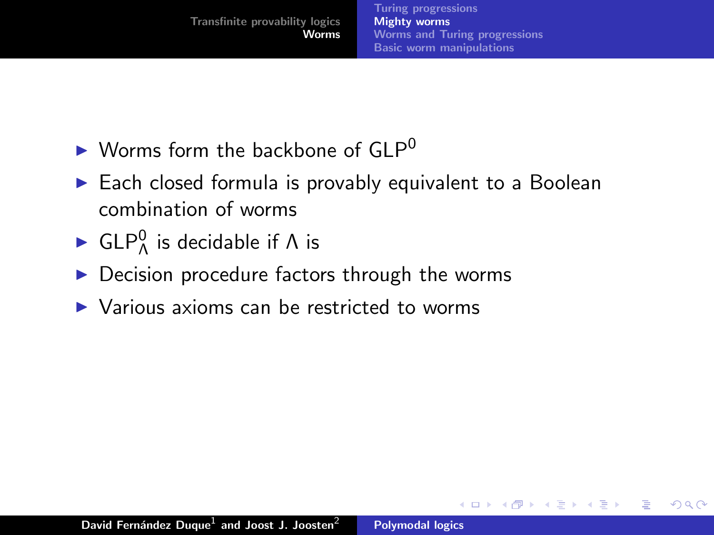$\Omega$ 

- $\blacktriangleright$  Worms form the backbone of GLP<sup>0</sup>
- $\blacktriangleright$  Each closed formula is provably equivalent to a Boolean combination of worms
- ► GLP $^0$  is decidable if  $\Lambda$  is
- $\triangleright$  Decision procedure factors through the worms
- $\triangleright$  Various axioms can be restricted to worms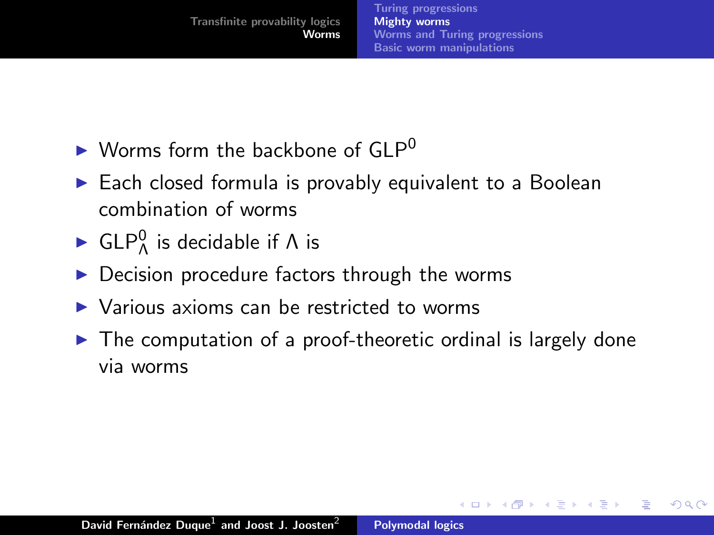へのへ

- $\blacktriangleright$  Worms form the backbone of GLP<sup>0</sup>
- $\blacktriangleright$  Each closed formula is provably equivalent to a Boolean combination of worms
- ► GLP $^0$  is decidable if  $\Lambda$  is
- Decision procedure factors through the worms
- $\triangleright$  Various axioms can be restricted to worms
- $\triangleright$  The computation of a proof-theoretic ordinal is largely done via worms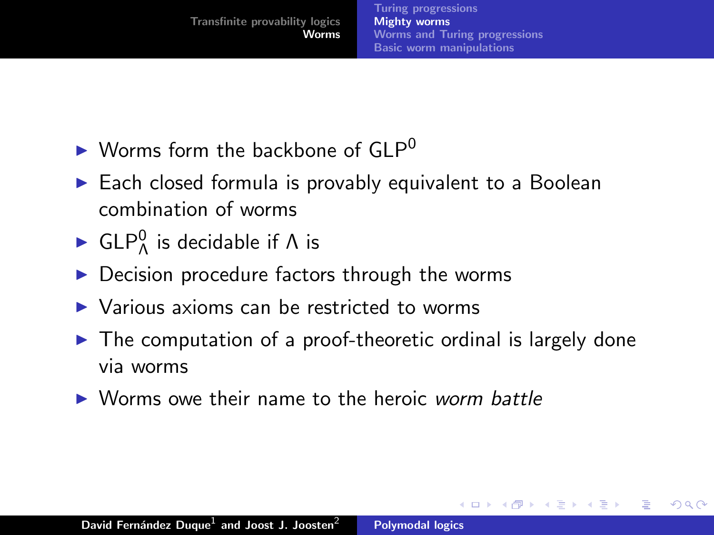$\leftarrow$   $\cap$   $\rightarrow$   $\leftarrow$   $\cap$   $\rightarrow$ 

へのへ

- $\blacktriangleright$  Worms form the backbone of GLP<sup>0</sup>
- $\blacktriangleright$  Each closed formula is provably equivalent to a Boolean combination of worms
- ► GLP $^0$  is decidable if  $\Lambda$  is
- $\triangleright$  Decision procedure factors through the worms
- $\triangleright$  Various axioms can be restricted to worms
- $\triangleright$  The computation of a proof-theoretic ordinal is largely done via worms
- $\triangleright$  Worms owe their name to the heroic worm battle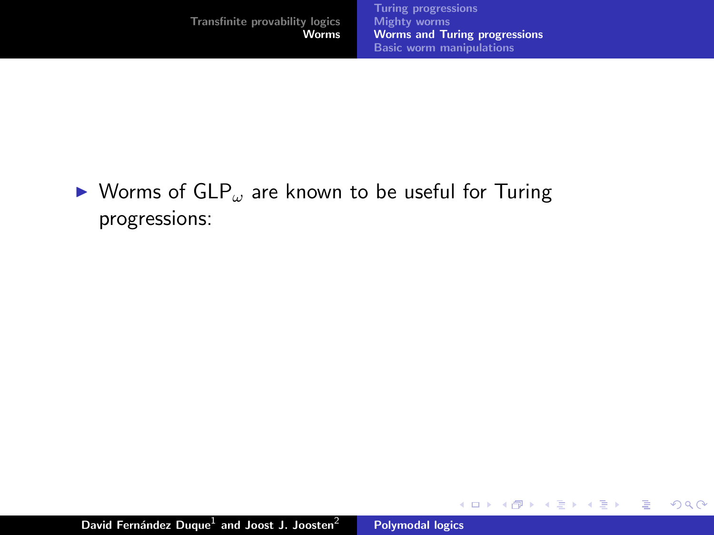イロト イ押 トイモト イモト

重

<span id="page-62-0"></span> $299$ 

### $\triangleright$  Worms of GLP<sub>ω</sub> are known to be useful for Turing progressions: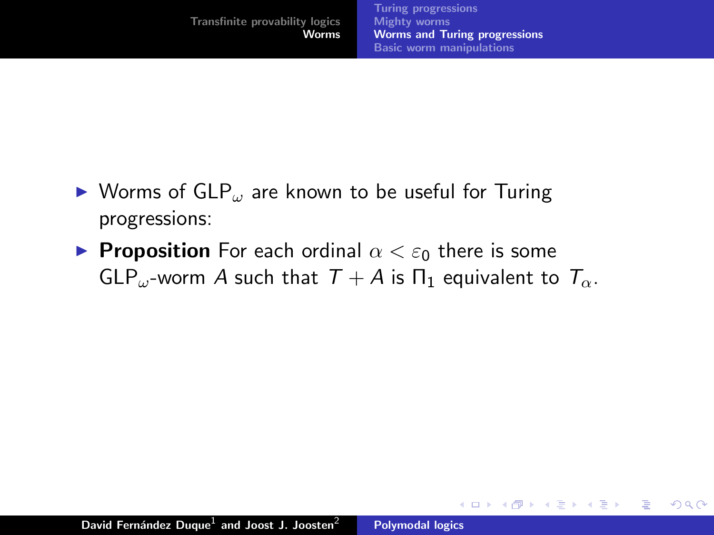**K ロ ▶ K 御 ▶ K 舌** 

 $2Q$ 

Эx 目

- $\triangleright$  Worms of GLP<sub> $\omega$ </sub> are known to be useful for Turing progressions:
- **Proposition** For each ordinal  $\alpha < \varepsilon_0$  there is some GLP<sub>ω</sub>-worm A such that  $T + A$  is  $\Pi_1$  equivalent to  $T_{\alpha}$ .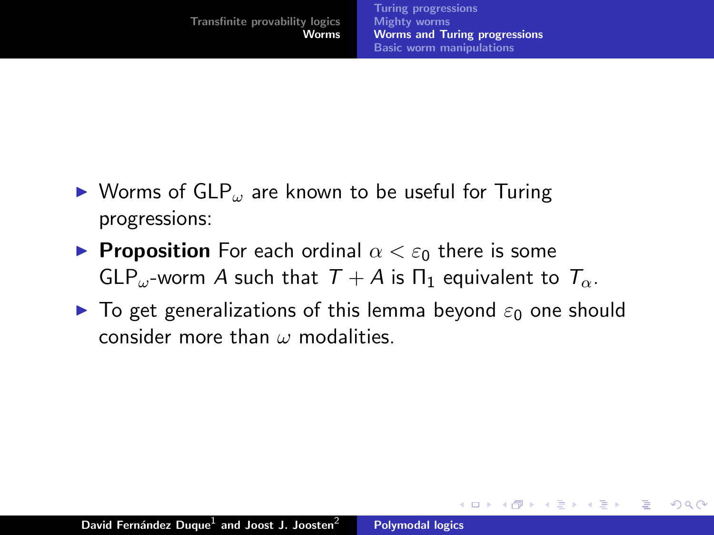<span id="page-64-0"></span>**∢ ロ ▶ - ∢ @ ▶ - ∢ ミ** 

- $\triangleright$  Worms of GLP<sub>ω</sub> are known to be useful for Turing progressions:
- **Proposition** For each ordinal  $\alpha < \varepsilon_0$  there is some GLP<sub>ω</sub>-worm A such that  $T + A$  is  $\Pi_1$  equivalent to  $T_{\alpha}$ .
- $\triangleright$  To get generalizations of this lemma beyond  $\varepsilon_0$  one should consider more than  $\omega$  modalities.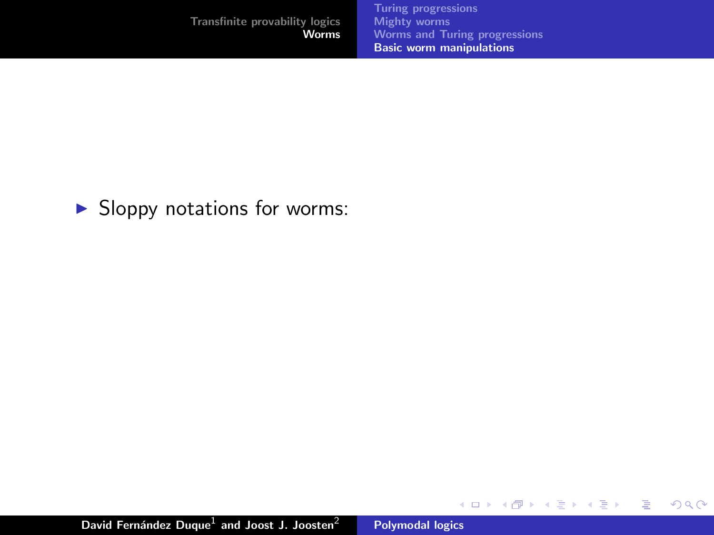|                                | <b>Turing progressions</b>           |
|--------------------------------|--------------------------------------|
| Transfinite provability logics | <b>Mighty worms</b>                  |
| Worms                          | <b>Worms and Turing progressions</b> |
|                                | <b>Basic worm manipulations</b>      |

K ロ ⊁ K 個 ≯ K 差 ⊁

一 一番 あい È <span id="page-65-0"></span> $299$ 

 $\blacktriangleright$  Sloppy notations for worms: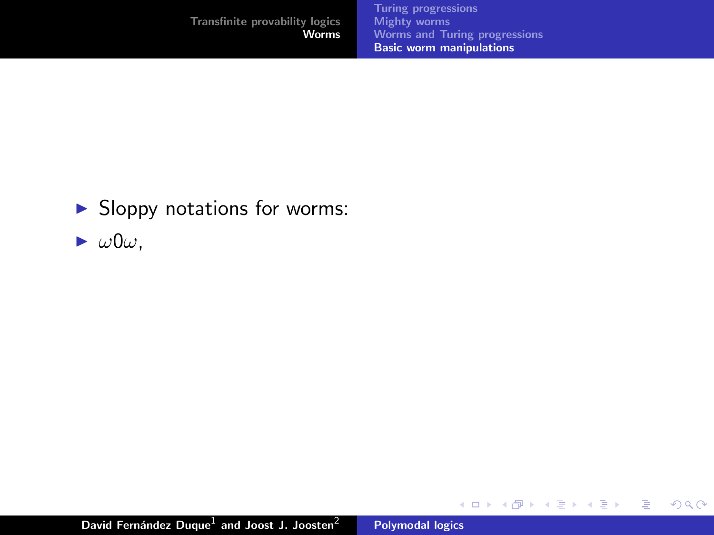|                                | <b>Turing progressions</b>           |
|--------------------------------|--------------------------------------|
| Transfinite provability logics | <b>Mighty worms</b>                  |
| Worms                          | <b>Worms and Turing progressions</b> |
|                                | <b>Basic worm manipulations</b>      |
|                                |                                      |

K ロ ▶ K 御 ▶ K 君 ▶ K 君 ▶ ...

 $\equiv$ 

 $299$ 

- $\blacktriangleright$  Sloppy notations for worms:
- $\blacktriangleright \omega 0\omega,$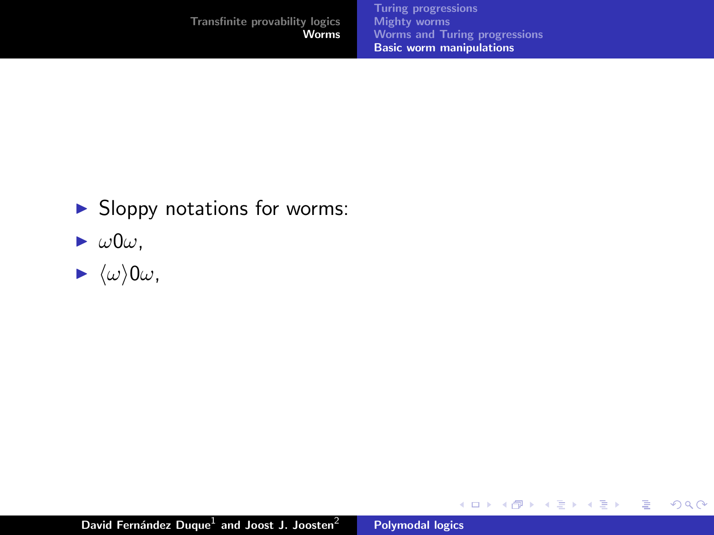|                                | <b>Turing progressions</b>           |
|--------------------------------|--------------------------------------|
| Transfinite provability logics | <b>Mighty worms</b>                  |
| Worms                          | <b>Worms and Turing progressions</b> |
|                                | <b>Basic worm manipulations</b>      |
|                                |                                      |

K ロ ▶ K 個 ▶ K 差 ▶ K 差 ▶ ...

目

 $299$ 

- $\blacktriangleright$  Sloppy notations for worms:
- $\blacktriangleright$   $\omega 0\omega$ ,
- $\blacktriangleright \langle \omega \rangle 0 \omega$ ,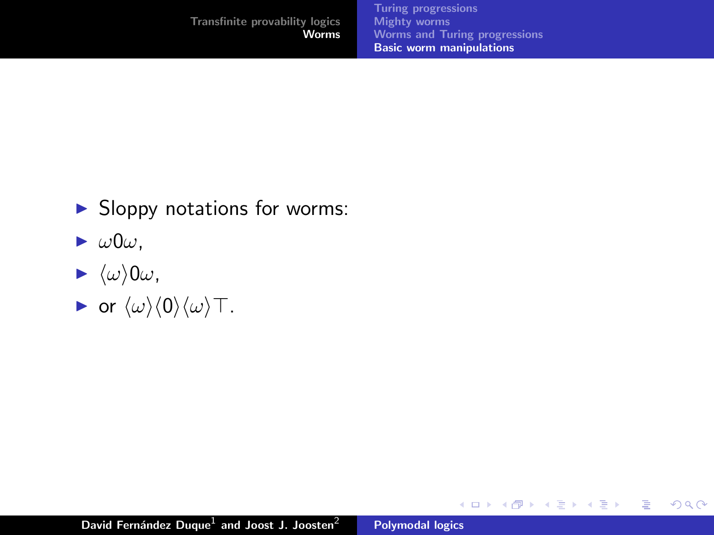K ロ ▶ K 御 ▶ K 君 ▶ K 君 ▶

<span id="page-68-0"></span>重

- $\blacktriangleright$  Sloppy notations for worms:
- $\blacktriangleright \omega 0\omega,$
- $\blacktriangleright \langle \omega \rangle 0 \omega$ ,
- $\blacktriangleright$  or  $\langle \omega \rangle \langle 0 \rangle \langle \omega \rangle$  T.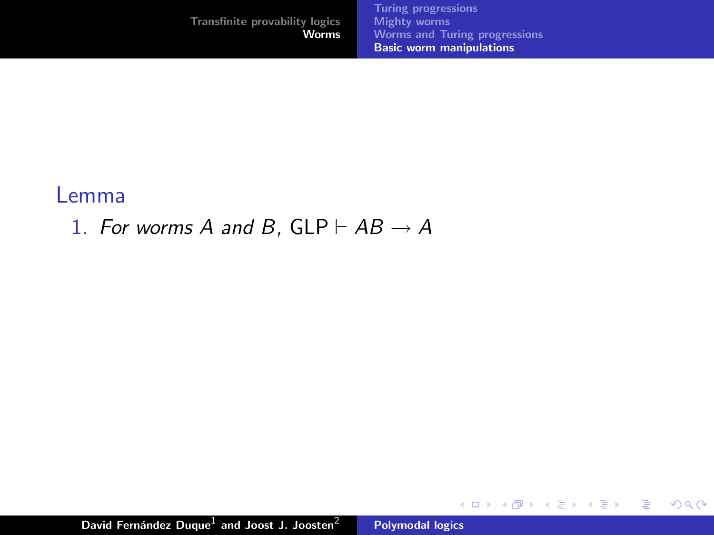[Transfinite provability logics](#page-1-0) **[Worms](#page-34-0)** [Turing progressions](#page-34-0) [Mighty worms](#page-50-0) [Worms and Turing progressions](#page-62-0) [Basic worm manipulations](#page-65-0)

メロメ メタメ メミメ メミメ

重

 $299$ 

#### Lemma

1. For worms A and B,  $GLP \vdash AB \rightarrow A$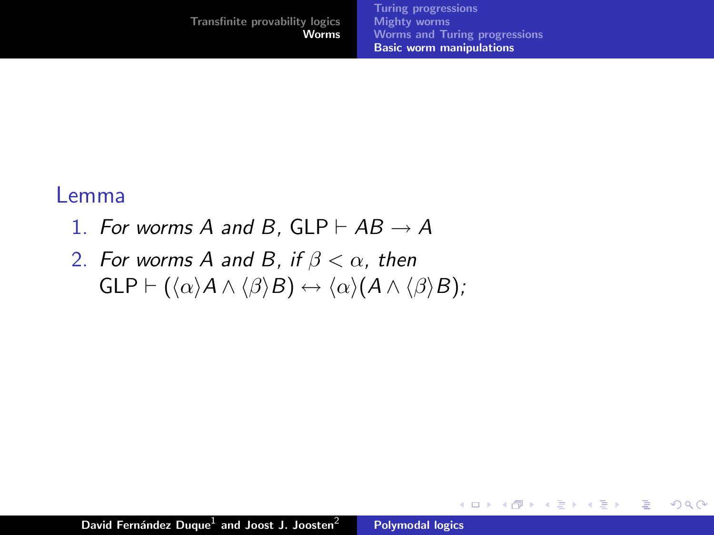### Lemma

- 1. For worms A and B,  $GLP \vdash AB \rightarrow A$
- 2. For worms A and B, if  $\beta < \alpha$ , then  $GLP \vdash (\langle \alpha \rangle A \land \langle \beta \rangle B) \leftrightarrow \langle \alpha \rangle (A \land \langle \beta \rangle B);$

**K ロ ト K 倒 ト K 走 ト** 

- 4 店)

 $2Q$ 

目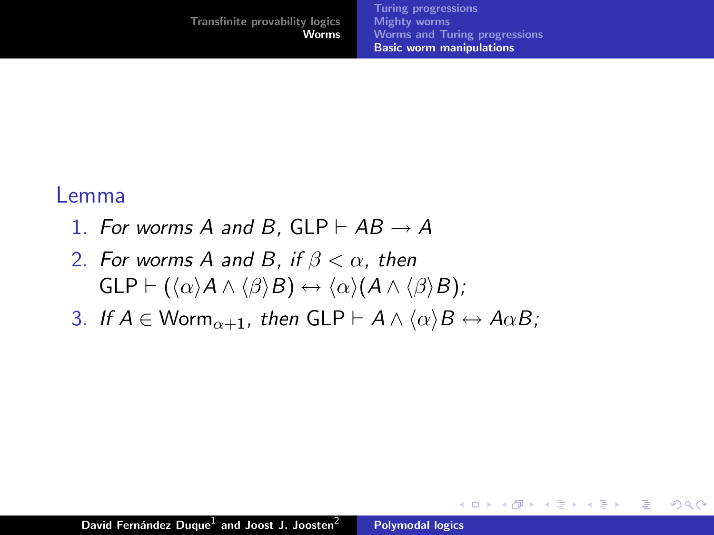#### Lemma

- 1. For worms A and B, GLP  $\vdash AB \rightarrow A$
- 2. For worms A and B, if  $\beta < \alpha$ , then  $GLP \vdash (\langle \alpha \rangle A \land \langle \beta \rangle B) \leftrightarrow \langle \alpha \rangle (A \land \langle \beta \rangle B);$
- 3. If  $A \in \mathsf{Worm}_{\alpha+1}$ , then  $GLP \vdash A \wedge \langle \alpha \rangle B \leftrightarrow A \alpha B$ ;

 $2Q$ 

后

**K ロ ▶ K 御 ▶ K 舌** 

**IN**  $\left\{ \begin{array}{c} 1 \end{array} \right.$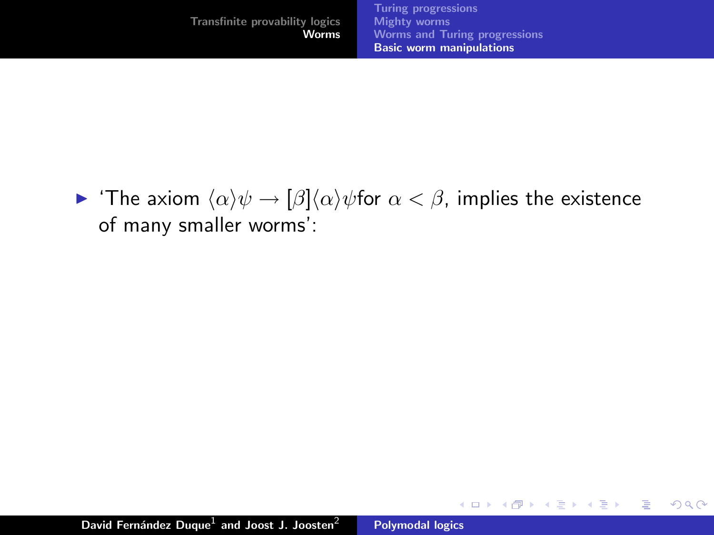$\triangleright$  'The axiom  $\langle \alpha \rangle \psi \rightarrow \frac{\beta \langle \alpha \rangle \psi}{\phi}$  for  $\alpha < \beta$ , implies the existence of many smaller worms':

K ロ ⊁ K 倒 ≯ K ミ ⊁ K ミ ⊁

重

 $2Q$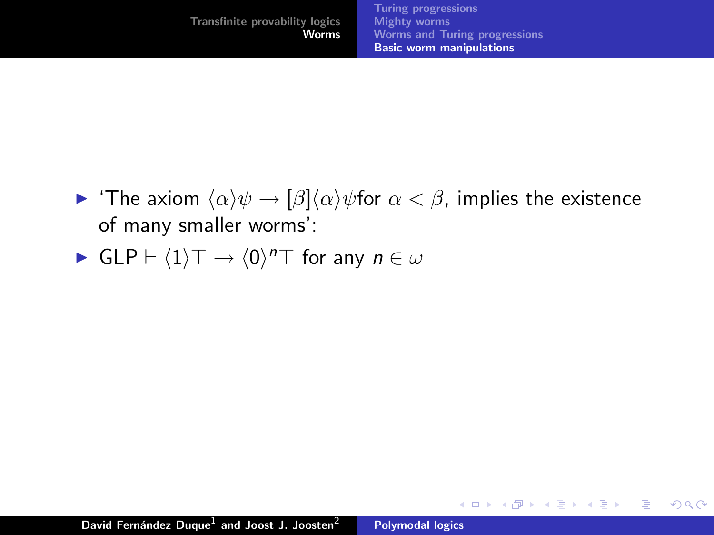$\triangleright$  'The axiom  $\langle \alpha \rangle \psi \rightarrow \frac{\beta \langle \alpha \rangle \psi}{\phi}$  for  $\alpha < \beta$ , implies the existence of many smaller worms':

K ロ ⊁ K 倒 ≯ K ミ ⊁ K ミ ⊁

重

 $2Q$ 

• 
$$
GLP \vdash \langle 1 \rangle \top \rightarrow \langle 0 \rangle^n \top
$$
 for any  $n \in \omega$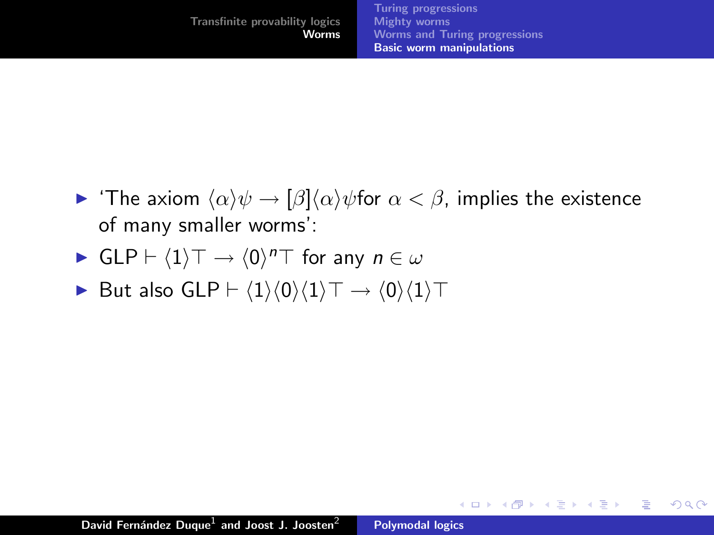$\triangleright$  'The axiom  $\langle \alpha \rangle \psi \rightarrow \frac{\beta \langle \alpha \rangle \psi}{\phi}$  for  $\alpha < \beta$ , implies the existence of many smaller worms':

K ロ ⊁ K 倒 ≯ K ミ ⊁ K ミ ⊁

 $2Q$ 

目

• 
$$
GLP \vdash \langle 1 \rangle \top \rightarrow \langle 0 \rangle^n \top
$$
 for any  $n \in \omega$ 

► But also GLP  $\vdash \langle 1 \rangle \langle 0 \rangle \langle 1 \rangle \top \rightarrow \langle 0 \rangle \langle 1 \rangle \top$